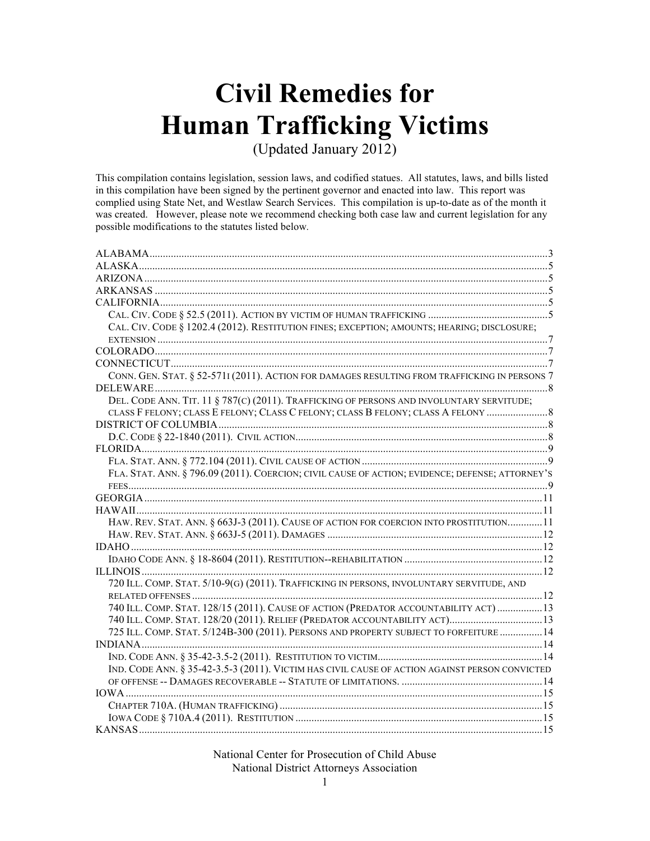# **Civil Remedies for Human Trafficking Victims**

(Updated January 2012)

This compilation contains legislation, session laws, and codified statues. All statutes, laws, and bills listed in this compilation have been signed by the pertinent governor and enacted into law. This report was complied using State Net, and Westlaw Search Services. This compilation is up-to-date as of the month it was created. However, please note we recommend checking both case law and current legislation for any possible modifications to the statutes listed below*.*

| CAL. CIV. CODE § 1202.4 (2012). RESTITUTION FINES; EXCEPTION; AMOUNTS; HEARING; DISCLOSURE;     |  |
|-------------------------------------------------------------------------------------------------|--|
|                                                                                                 |  |
|                                                                                                 |  |
|                                                                                                 |  |
| CONN. GEN. STAT. § 52-5711 (2011). ACTION FOR DAMAGES RESULTING FROM TRAFFICKING IN PERSONS 7   |  |
|                                                                                                 |  |
| DEL. CODE ANN. TIT. 11 § 787(C) (2011). TRAFFICKING OF PERSONS AND INVOLUNTARY SERVITUDE;       |  |
| CLASS F FELONY; CLASS E FELONY; CLASS C FELONY; CLASS B FELONY; CLASS A FELONY                  |  |
|                                                                                                 |  |
|                                                                                                 |  |
|                                                                                                 |  |
|                                                                                                 |  |
| FLA. STAT. ANN. § 796.09 (2011). COERCION; CIVIL CAUSE OF ACTION; EVIDENCE; DEFENSE; ATTORNEY'S |  |
|                                                                                                 |  |
|                                                                                                 |  |
|                                                                                                 |  |
| HAW. REV. STAT. ANN. § 663J-3 (2011). CAUSE OF ACTION FOR COERCION INTO PROSTITUTION11          |  |
|                                                                                                 |  |
|                                                                                                 |  |
|                                                                                                 |  |
|                                                                                                 |  |
| 720 ILL. COMP. STAT. 5/10-9(G) (2011). TRAFFICKING IN PERSONS, INVOLUNTARY SERVITUDE, AND       |  |
|                                                                                                 |  |
| 740 ILL. COMP. STAT. 128/15 (2011). CAUSE OF ACTION (PREDATOR ACCOUNTABILITY ACT)  13           |  |
| 740 ILL. COMP. STAT. 128/20 (2011). RELIEF (PREDATOR ACCOUNTABILITY ACT) 13                     |  |
| 725 ILL. COMP. STAT. 5/124B-300 (2011). PERSONS AND PROPERTY SUBJECT TO FORFEITURE  14          |  |
|                                                                                                 |  |
|                                                                                                 |  |
| IND. CODE ANN. § 35-42-3.5-3 (2011). VICTIM HAS CIVIL CAUSE OF ACTION AGAINST PERSON CONVICTED  |  |
|                                                                                                 |  |
|                                                                                                 |  |
|                                                                                                 |  |
|                                                                                                 |  |
| KANSAS.                                                                                         |  |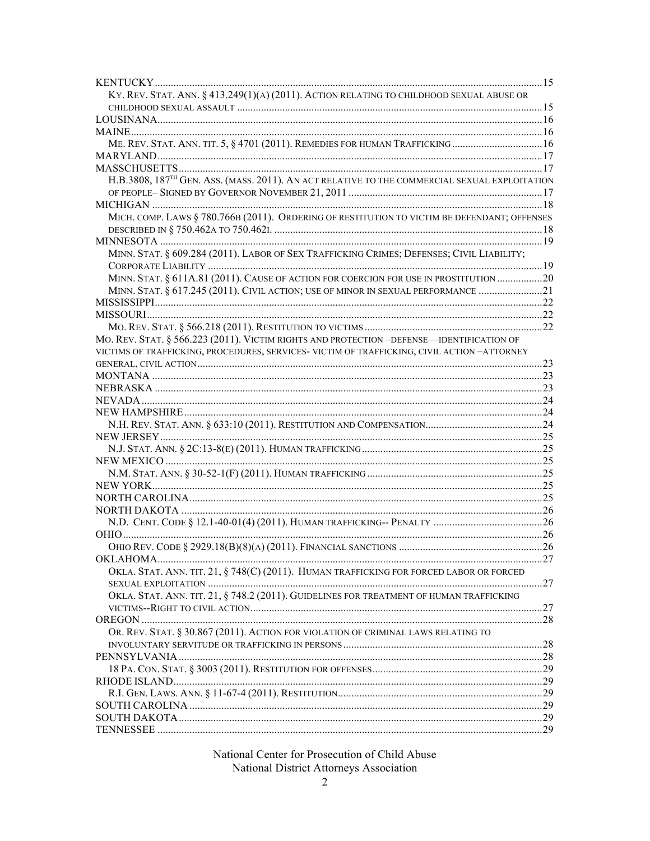| KY. REV. STAT. ANN. § 413.249(1)(A) (2011). ACTION RELATING TO CHILDHOOD SEXUAL ABUSE OR                  |  |
|-----------------------------------------------------------------------------------------------------------|--|
|                                                                                                           |  |
|                                                                                                           |  |
|                                                                                                           |  |
| ME. REV. STAT. ANN. TIT. 5, § 4701 (2011). REMEDIES FOR HUMAN TRAFFICKING 16                              |  |
|                                                                                                           |  |
|                                                                                                           |  |
| H.B.3808, 187 <sup>TH</sup> GEN. ASS. (MASS. 2011). AN ACT RELATIVE TO THE COMMERCIAL SEXUAL EXPLOITATION |  |
|                                                                                                           |  |
|                                                                                                           |  |
| MICH. COMP. LAWS § 780.766B (2011). ORDERING OF RESTITUTION TO VICTIM BE DEFENDANT; OFFENSES              |  |
|                                                                                                           |  |
|                                                                                                           |  |
| MINN. STAT. § 609.284 (2011). LABOR OF SEX TRAFFICKING CRIMES; DEFENSES; CIVIL LIABILITY;                 |  |
|                                                                                                           |  |
| MINN. STAT. § 611A.81 (2011). CAUSE OF ACTION FOR COERCION FOR USE IN PROSTITUTION 20                     |  |
| MINN. STAT. § 617.245 (2011). CIVIL ACTION; USE OF MINOR IN SEXUAL PERFORMANCE 21                         |  |
|                                                                                                           |  |
|                                                                                                           |  |
|                                                                                                           |  |
| MO. REV. STAT. § 566.223 (2011). VICTIM RIGHTS AND PROTECTION -DEFENSE—IDENTIFICATION OF                  |  |
| VICTIMS OF TRAFFICKING, PROCEDURES, SERVICES- VICTIM OF TRAFFICKING, CIVIL ACTION - ATTORNEY              |  |
|                                                                                                           |  |
|                                                                                                           |  |
|                                                                                                           |  |
|                                                                                                           |  |
|                                                                                                           |  |
|                                                                                                           |  |
|                                                                                                           |  |
|                                                                                                           |  |
|                                                                                                           |  |
|                                                                                                           |  |
|                                                                                                           |  |
|                                                                                                           |  |
|                                                                                                           |  |
|                                                                                                           |  |
|                                                                                                           |  |
|                                                                                                           |  |
|                                                                                                           |  |
| OKLA. STAT. ANN. TIT. 21, § 748(C) (2011). HUMAN TRAFFICKING FOR FORCED LABOR OR FORCED                   |  |
|                                                                                                           |  |
| OKLA. STAT. ANN. TIT. 21, § 748.2 (2011). GUIDELINES FOR TREATMENT OF HUMAN TRAFFICKING                   |  |
|                                                                                                           |  |
|                                                                                                           |  |
| OR. REV. STAT. § 30.867 (2011). ACTION FOR VIOLATION OF CRIMINAL LAWS RELATING TO                         |  |
|                                                                                                           |  |
|                                                                                                           |  |
|                                                                                                           |  |
|                                                                                                           |  |
|                                                                                                           |  |
|                                                                                                           |  |
|                                                                                                           |  |
|                                                                                                           |  |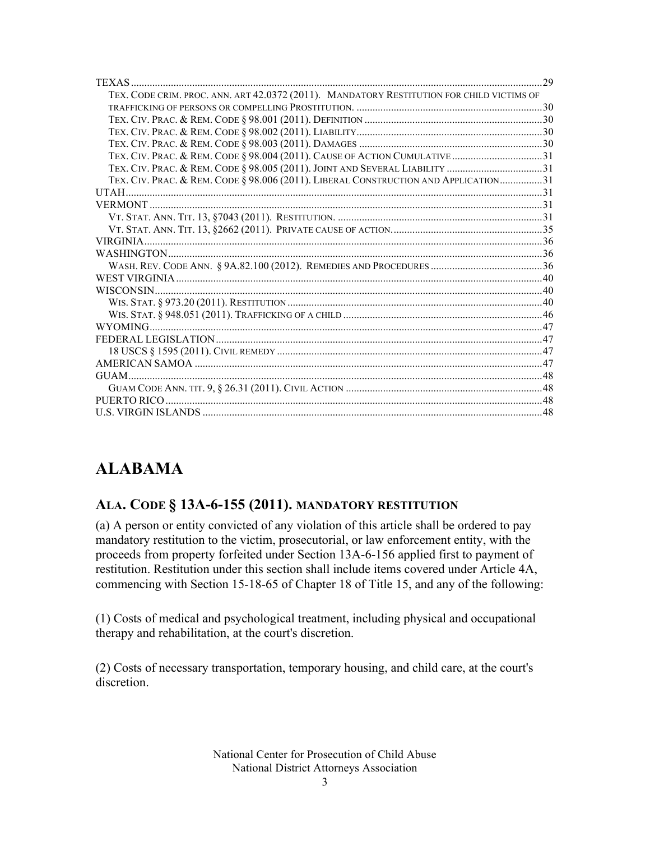| TEX. CODE CRIM. PROC. ANN. ART 42.0372 (2011). MANDATORY RESTITUTION FOR CHILD VICTIMS OF |  |
|-------------------------------------------------------------------------------------------|--|
|                                                                                           |  |
|                                                                                           |  |
|                                                                                           |  |
|                                                                                           |  |
|                                                                                           |  |
|                                                                                           |  |
| TEX. CIV. PRAC. & REM. CODE § 98.006 (2011). LIBERAL CONSTRUCTION AND APPLICATION31       |  |
|                                                                                           |  |
|                                                                                           |  |
|                                                                                           |  |
|                                                                                           |  |
|                                                                                           |  |
|                                                                                           |  |
|                                                                                           |  |
|                                                                                           |  |
| WISCONSIN                                                                                 |  |
|                                                                                           |  |
|                                                                                           |  |
|                                                                                           |  |
|                                                                                           |  |
|                                                                                           |  |
|                                                                                           |  |
|                                                                                           |  |
|                                                                                           |  |
|                                                                                           |  |
|                                                                                           |  |

### **ALABAMA**

#### **ALA. CODE § 13A-6-155 (2011). MANDATORY RESTITUTION**

(a) A person or entity convicted of any violation of this article shall be ordered to pay mandatory restitution to the victim, prosecutorial, or law enforcement entity, with the proceeds from property forfeited under Section 13A-6-156 applied first to payment of restitution. Restitution under this section shall include items covered under Article 4A, commencing with Section 15-18-65 of Chapter 18 of Title 15, and any of the following:

(1) Costs of medical and psychological treatment, including physical and occupational therapy and rehabilitation, at the court's discretion.

(2) Costs of necessary transportation, temporary housing, and child care, at the court's discretion.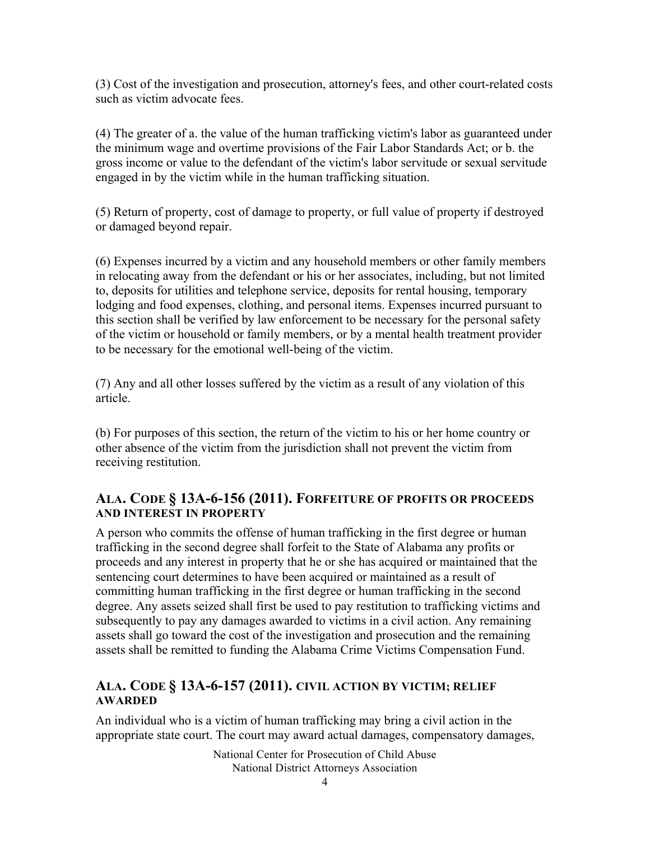(3) Cost of the investigation and prosecution, attorney's fees, and other court-related costs such as victim advocate fees.

(4) The greater of a. the value of the human trafficking victim's labor as guaranteed under the minimum wage and overtime provisions of the Fair Labor Standards Act; or b. the gross income or value to the defendant of the victim's labor servitude or sexual servitude engaged in by the victim while in the human trafficking situation.

(5) Return of property, cost of damage to property, or full value of property if destroyed or damaged beyond repair.

(6) Expenses incurred by a victim and any household members or other family members in relocating away from the defendant or his or her associates, including, but not limited to, deposits for utilities and telephone service, deposits for rental housing, temporary lodging and food expenses, clothing, and personal items. Expenses incurred pursuant to this section shall be verified by law enforcement to be necessary for the personal safety of the victim or household or family members, or by a mental health treatment provider to be necessary for the emotional well-being of the victim.

(7) Any and all other losses suffered by the victim as a result of any violation of this article.

(b) For purposes of this section, the return of the victim to his or her home country or other absence of the victim from the jurisdiction shall not prevent the victim from receiving restitution.

#### **ALA. CODE § 13A-6-156 (2011). FORFEITURE OF PROFITS OR PROCEEDS AND INTEREST IN PROPERTY**

A person who commits the offense of human trafficking in the first degree or human trafficking in the second degree shall forfeit to the State of Alabama any profits or proceeds and any interest in property that he or she has acquired or maintained that the sentencing court determines to have been acquired or maintained as a result of committing human trafficking in the first degree or human trafficking in the second degree. Any assets seized shall first be used to pay restitution to trafficking victims and subsequently to pay any damages awarded to victims in a civil action. Any remaining assets shall go toward the cost of the investigation and prosecution and the remaining assets shall be remitted to funding the Alabama Crime Victims Compensation Fund.

#### **ALA. CODE § 13A-6-157 (2011). CIVIL ACTION BY VICTIM; RELIEF AWARDED**

An individual who is a victim of human trafficking may bring a civil action in the appropriate state court. The court may award actual damages, compensatory damages,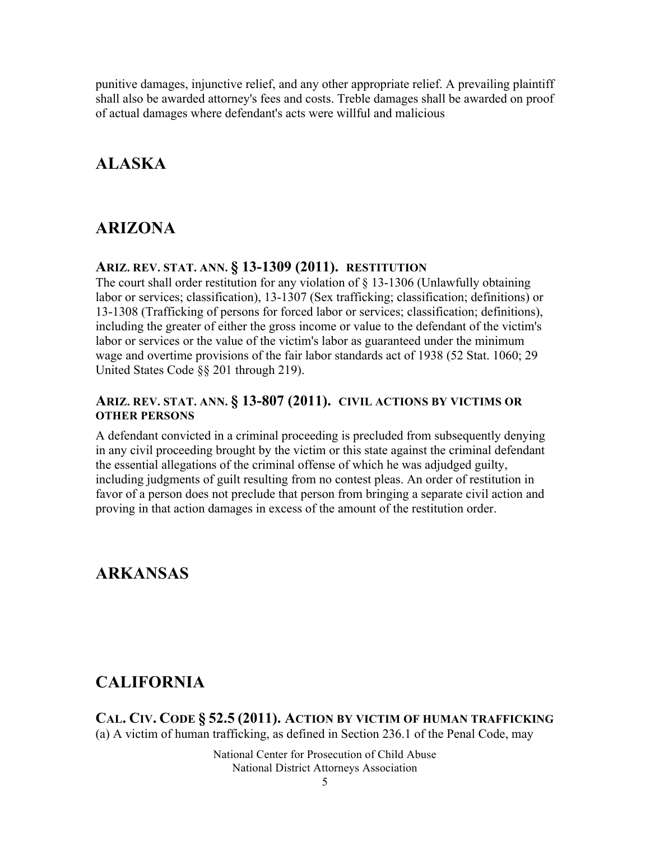punitive damages, injunctive relief, and any other appropriate relief. A prevailing plaintiff shall also be awarded attorney's fees and costs. Treble damages shall be awarded on proof of actual damages where defendant's acts were willful and malicious

### **ALASKA**

### **ARIZONA**

#### **ARIZ. REV. STAT. ANN. § 13-1309 (2011). RESTITUTION**

The court shall order restitution for any violation of  $\S$  13-1306 (Unlawfully obtaining labor or services; classification), 13-1307 (Sex trafficking; classification; definitions) or 13-1308 (Trafficking of persons for forced labor or services; classification; definitions), including the greater of either the gross income or value to the defendant of the victim's labor or services or the value of the victim's labor as guaranteed under the minimum wage and overtime provisions of the fair labor standards act of 1938 (52 Stat. 1060; 29 United States Code §§ 201 through 219).

#### **ARIZ. REV. STAT. ANN. § 13-807 (2011). CIVIL ACTIONS BY VICTIMS OR OTHER PERSONS**

A defendant convicted in a criminal proceeding is precluded from subsequently denying in any civil proceeding brought by the victim or this state against the criminal defendant the essential allegations of the criminal offense of which he was adjudged guilty, including judgments of guilt resulting from no contest pleas. An order of restitution in favor of a person does not preclude that person from bringing a separate civil action and proving in that action damages in excess of the amount of the restitution order.

### **ARKANSAS**

### **CALIFORNIA**

**CAL. CIV. CODE § 52.5 (2011). ACTION BY VICTIM OF HUMAN TRAFFICKING** (a) A victim of human trafficking, as defined in Section 236.1 of the Penal Code, may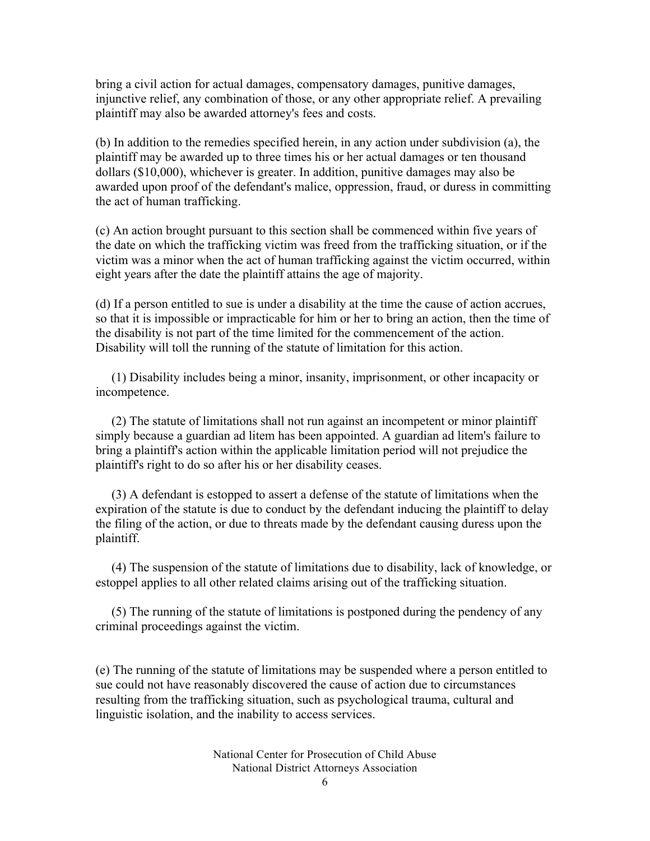bring a civil action for actual damages, compensatory damages, punitive damages, injunctive relief, any combination of those, or any other appropriate relief. A prevailing plaintiff may also be awarded attorney's fees and costs.

(b) In addition to the remedies specified herein, in any action under subdivision (a), the plaintiff may be awarded up to three times his or her actual damages or ten thousand dollars (\$10,000), whichever is greater. In addition, punitive damages may also be awarded upon proof of the defendant's malice, oppression, fraud, or duress in committing the act of human trafficking.

(c) An action brought pursuant to this section shall be commenced within five years of the date on which the trafficking victim was freed from the trafficking situation, or if the victim was a minor when the act of human trafficking against the victim occurred, within eight years after the date the plaintiff attains the age of majority.

(d) If a person entitled to sue is under a disability at the time the cause of action accrues, so that it is impossible or impracticable for him or her to bring an action, then the time of the disability is not part of the time limited for the commencement of the action. Disability will toll the running of the statute of limitation for this action.

 (1) Disability includes being a minor, insanity, imprisonment, or other incapacity or incompetence.

 (2) The statute of limitations shall not run against an incompetent or minor plaintiff simply because a guardian ad litem has been appointed. A guardian ad litem's failure to bring a plaintiff's action within the applicable limitation period will not prejudice the plaintiff's right to do so after his or her disability ceases.

 (3) A defendant is estopped to assert a defense of the statute of limitations when the expiration of the statute is due to conduct by the defendant inducing the plaintiff to delay the filing of the action, or due to threats made by the defendant causing duress upon the plaintiff.

 (4) The suspension of the statute of limitations due to disability, lack of knowledge, or estoppel applies to all other related claims arising out of the trafficking situation.

 (5) The running of the statute of limitations is postponed during the pendency of any criminal proceedings against the victim.

(e) The running of the statute of limitations may be suspended where a person entitled to sue could not have reasonably discovered the cause of action due to circumstances resulting from the trafficking situation, such as psychological trauma, cultural and linguistic isolation, and the inability to access services.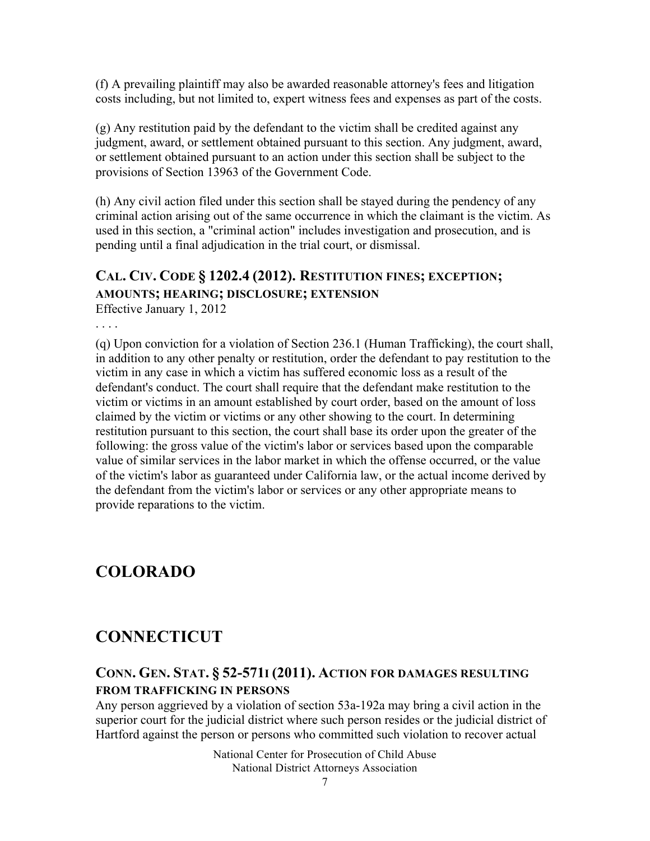(f) A prevailing plaintiff may also be awarded reasonable attorney's fees and litigation costs including, but not limited to, expert witness fees and expenses as part of the costs.

(g) Any restitution paid by the defendant to the victim shall be credited against any judgment, award, or settlement obtained pursuant to this section. Any judgment, award, or settlement obtained pursuant to an action under this section shall be subject to the provisions of Section 13963 of the Government Code.

(h) Any civil action filed under this section shall be stayed during the pendency of any criminal action arising out of the same occurrence in which the claimant is the victim. As used in this section, a "criminal action" includes investigation and prosecution, and is pending until a final adjudication in the trial court, or dismissal.

#### **CAL. CIV. CODE § 1202.4 (2012). RESTITUTION FINES; EXCEPTION; AMOUNTS; HEARING; DISCLOSURE; EXTENSION**

Effective January 1, 2012

. . . .

(q) Upon conviction for a violation of Section 236.1 (Human Trafficking), the court shall, in addition to any other penalty or restitution, order the defendant to pay restitution to the victim in any case in which a victim has suffered economic loss as a result of the defendant's conduct. The court shall require that the defendant make restitution to the victim or victims in an amount established by court order, based on the amount of loss claimed by the victim or victims or any other showing to the court. In determining restitution pursuant to this section, the court shall base its order upon the greater of the following: the gross value of the victim's labor or services based upon the comparable value of similar services in the labor market in which the offense occurred, or the value of the victim's labor as guaranteed under California law, or the actual income derived by the defendant from the victim's labor or services or any other appropriate means to provide reparations to the victim.

### **COLORADO**

### **CONNECTICUT**

#### **CONN. GEN. STAT. § 52-571I (2011). ACTION FOR DAMAGES RESULTING FROM TRAFFICKING IN PERSONS**

Any person aggrieved by a violation of section 53a-192a may bring a civil action in the superior court for the judicial district where such person resides or the judicial district of Hartford against the person or persons who committed such violation to recover actual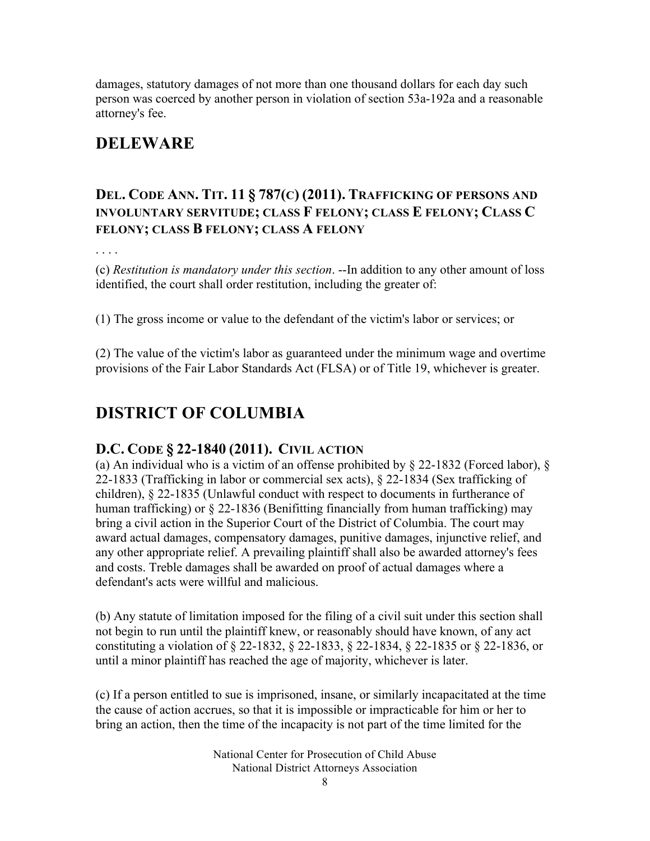damages, statutory damages of not more than one thousand dollars for each day such person was coerced by another person in violation of section 53a-192a and a reasonable attorney's fee.

### **DELEWARE**

#### **DEL. CODE ANN. TIT. 11 § 787(C) (2011). TRAFFICKING OF PERSONS AND INVOLUNTARY SERVITUDE; CLASS F FELONY; CLASS E FELONY; CLASS C FELONY; CLASS B FELONY; CLASS A FELONY**

. . . .

(c) *Restitution is mandatory under this section*. --In addition to any other amount of loss identified, the court shall order restitution, including the greater of:

(1) The gross income or value to the defendant of the victim's labor or services; or

(2) The value of the victim's labor as guaranteed under the minimum wage and overtime provisions of the Fair Labor Standards Act (FLSA) or of Title 19, whichever is greater.

### **DISTRICT OF COLUMBIA**

#### **D.C. CODE § 22-1840 (2011). CIVIL ACTION**

(a) An individual who is a victim of an offense prohibited by § 22-1832 (Forced labor), § 22-1833 (Trafficking in labor or commercial sex acts), § 22-1834 (Sex trafficking of children), § 22-1835 (Unlawful conduct with respect to documents in furtherance of human trafficking) or § 22-1836 (Benifitting financially from human trafficking) may bring a civil action in the Superior Court of the District of Columbia. The court may award actual damages, compensatory damages, punitive damages, injunctive relief, and any other appropriate relief. A prevailing plaintiff shall also be awarded attorney's fees and costs. Treble damages shall be awarded on proof of actual damages where a defendant's acts were willful and malicious.

(b) Any statute of limitation imposed for the filing of a civil suit under this section shall not begin to run until the plaintiff knew, or reasonably should have known, of any act constituting a violation of § 22-1832, § 22-1833, § 22-1834, § 22-1835 or § 22-1836, or until a minor plaintiff has reached the age of majority, whichever is later.

(c) If a person entitled to sue is imprisoned, insane, or similarly incapacitated at the time the cause of action accrues, so that it is impossible or impracticable for him or her to bring an action, then the time of the incapacity is not part of the time limited for the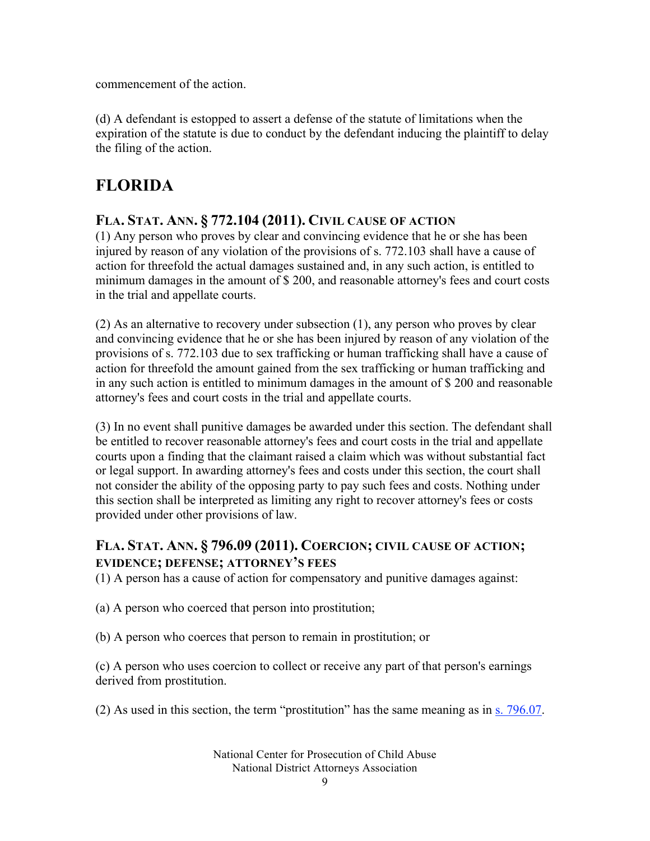commencement of the action.

(d) A defendant is estopped to assert a defense of the statute of limitations when the expiration of the statute is due to conduct by the defendant inducing the plaintiff to delay the filing of the action.

### **FLORIDA**

#### **FLA. STAT. ANN. § 772.104 (2011). CIVIL CAUSE OF ACTION**

(1) Any person who proves by clear and convincing evidence that he or she has been injured by reason of any violation of the provisions of s. 772.103 shall have a cause of action for threefold the actual damages sustained and, in any such action, is entitled to minimum damages in the amount of \$ 200, and reasonable attorney's fees and court costs in the trial and appellate courts.

(2) As an alternative to recovery under subsection (1), any person who proves by clear and convincing evidence that he or she has been injured by reason of any violation of the provisions of s. 772.103 due to sex trafficking or human trafficking shall have a cause of action for threefold the amount gained from the sex trafficking or human trafficking and in any such action is entitled to minimum damages in the amount of \$ 200 and reasonable attorney's fees and court costs in the trial and appellate courts.

(3) In no event shall punitive damages be awarded under this section. The defendant shall be entitled to recover reasonable attorney's fees and court costs in the trial and appellate courts upon a finding that the claimant raised a claim which was without substantial fact or legal support. In awarding attorney's fees and costs under this section, the court shall not consider the ability of the opposing party to pay such fees and costs. Nothing under this section shall be interpreted as limiting any right to recover attorney's fees or costs provided under other provisions of law.

#### **FLA. STAT. ANN. § 796.09 (2011). COERCION; CIVIL CAUSE OF ACTION; EVIDENCE; DEFENSE; ATTORNEY'S FEES**

(1) A person has a cause of action for compensatory and punitive damages against:

(a) A person who coerced that person into prostitution;

(b) A person who coerces that person to remain in prostitution; or

(c) A person who uses coercion to collect or receive any part of that person's earnings derived from prostitution.

(2) As used in this section, the term "prostitution" has the same meaning as in s. 796.07.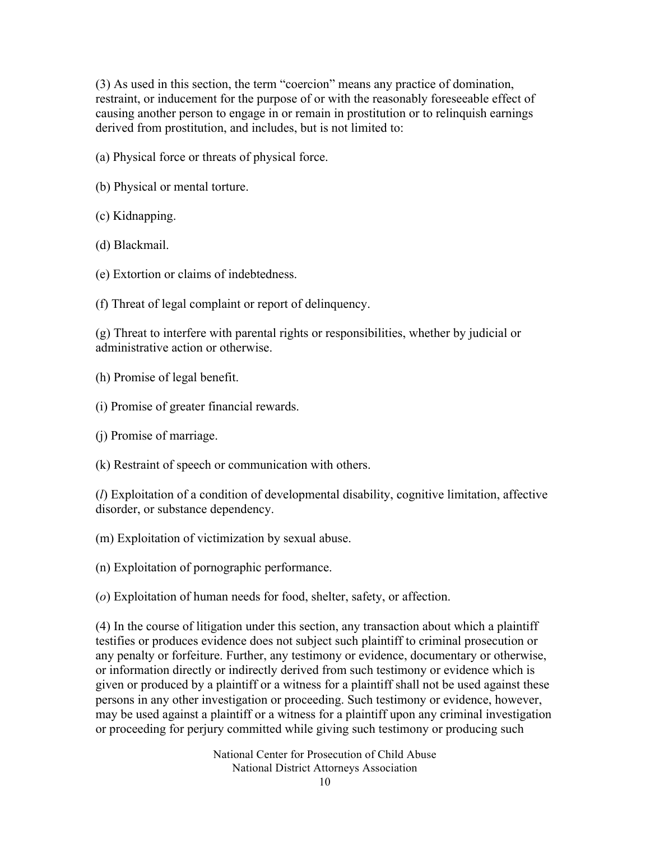(3) As used in this section, the term "coercion" means any practice of domination, restraint, or inducement for the purpose of or with the reasonably foreseeable effect of causing another person to engage in or remain in prostitution or to relinquish earnings derived from prostitution, and includes, but is not limited to:

(a) Physical force or threats of physical force.

- (b) Physical or mental torture.
- (c) Kidnapping.
- (d) Blackmail.
- (e) Extortion or claims of indebtedness.
- (f) Threat of legal complaint or report of delinquency.

(g) Threat to interfere with parental rights or responsibilities, whether by judicial or administrative action or otherwise.

- (h) Promise of legal benefit.
- (i) Promise of greater financial rewards.
- (j) Promise of marriage.
- (k) Restraint of speech or communication with others.

(*l*) Exploitation of a condition of developmental disability, cognitive limitation, affective disorder, or substance dependency.

- (m) Exploitation of victimization by sexual abuse.
- (n) Exploitation of pornographic performance.

(*o*) Exploitation of human needs for food, shelter, safety, or affection.

(4) In the course of litigation under this section, any transaction about which a plaintiff testifies or produces evidence does not subject such plaintiff to criminal prosecution or any penalty or forfeiture. Further, any testimony or evidence, documentary or otherwise, or information directly or indirectly derived from such testimony or evidence which is given or produced by a plaintiff or a witness for a plaintiff shall not be used against these persons in any other investigation or proceeding. Such testimony or evidence, however, may be used against a plaintiff or a witness for a plaintiff upon any criminal investigation or proceeding for perjury committed while giving such testimony or producing such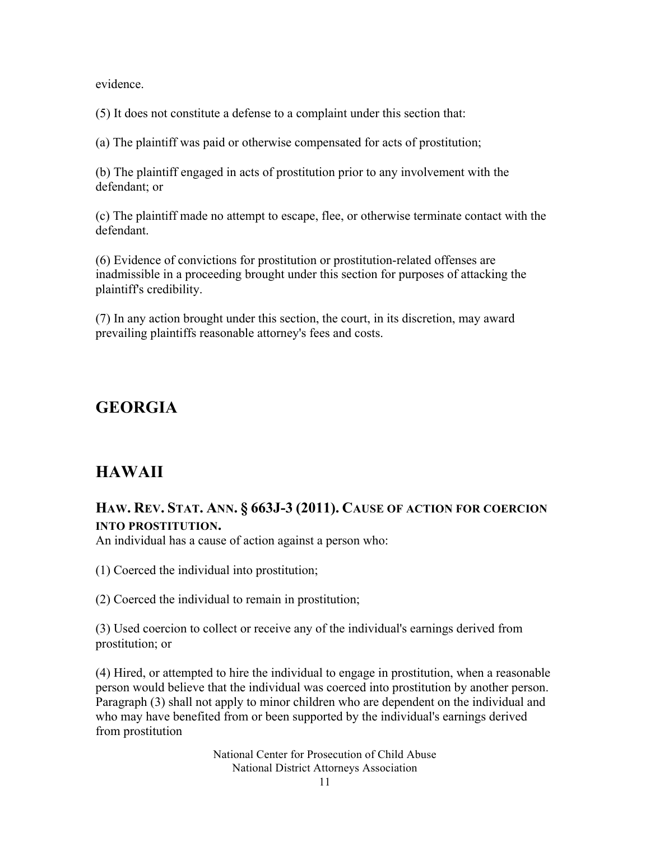evidence.

(5) It does not constitute a defense to a complaint under this section that:

(a) The plaintiff was paid or otherwise compensated for acts of prostitution;

(b) The plaintiff engaged in acts of prostitution prior to any involvement with the defendant; or

(c) The plaintiff made no attempt to escape, flee, or otherwise terminate contact with the defendant.

(6) Evidence of convictions for prostitution or prostitution-related offenses are inadmissible in a proceeding brought under this section for purposes of attacking the plaintiff's credibility.

(7) In any action brought under this section, the court, in its discretion, may award prevailing plaintiffs reasonable attorney's fees and costs.

### **GEORGIA**

### **HAWAII**

#### **HAW. REV. STAT. ANN. § 663J-3 (2011). CAUSE OF ACTION FOR COERCION INTO PROSTITUTION.**

An individual has a cause of action against a person who:

(1) Coerced the individual into prostitution;

(2) Coerced the individual to remain in prostitution;

(3) Used coercion to collect or receive any of the individual's earnings derived from prostitution; or

(4) Hired, or attempted to hire the individual to engage in prostitution, when a reasonable person would believe that the individual was coerced into prostitution by another person. Paragraph (3) shall not apply to minor children who are dependent on the individual and who may have benefited from or been supported by the individual's earnings derived from prostitution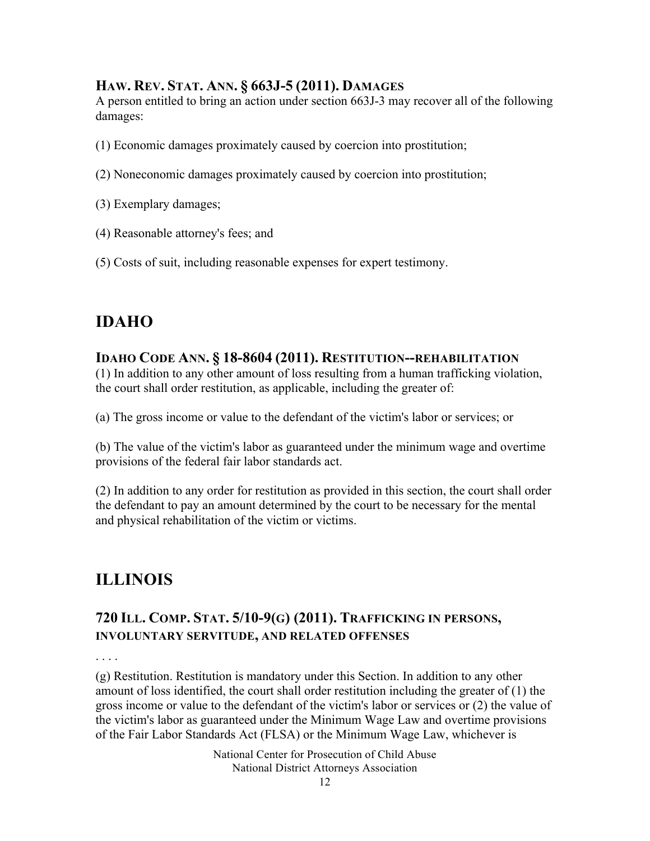#### **HAW. REV. STAT. ANN. § 663J-5 (2011). DAMAGES**

A person entitled to bring an action under section 663J-3 may recover all of the following damages:

- (1) Economic damages proximately caused by coercion into prostitution;
- (2) Noneconomic damages proximately caused by coercion into prostitution;
- (3) Exemplary damages;
- (4) Reasonable attorney's fees; and
- (5) Costs of suit, including reasonable expenses for expert testimony.

### **IDAHO**

#### **IDAHO CODE ANN. § 18-8604 (2011). RESTITUTION--REHABILITATION**

(1) In addition to any other amount of loss resulting from a human trafficking violation, the court shall order restitution, as applicable, including the greater of:

(a) The gross income or value to the defendant of the victim's labor or services; or

(b) The value of the victim's labor as guaranteed under the minimum wage and overtime provisions of the federal fair labor standards act.

(2) In addition to any order for restitution as provided in this section, the court shall order the defendant to pay an amount determined by the court to be necessary for the mental and physical rehabilitation of the victim or victims.

### **ILLINOIS**

#### **720 ILL. COMP. STAT. 5/10-9(G) (2011). TRAFFICKING IN PERSONS, INVOLUNTARY SERVITUDE, AND RELATED OFFENSES**

. . . .

(g) Restitution. Restitution is mandatory under this Section. In addition to any other amount of loss identified, the court shall order restitution including the greater of (1) the gross income or value to the defendant of the victim's labor or services or (2) the value of the victim's labor as guaranteed under the Minimum Wage Law and overtime provisions of the Fair Labor Standards Act (FLSA) or the Minimum Wage Law, whichever is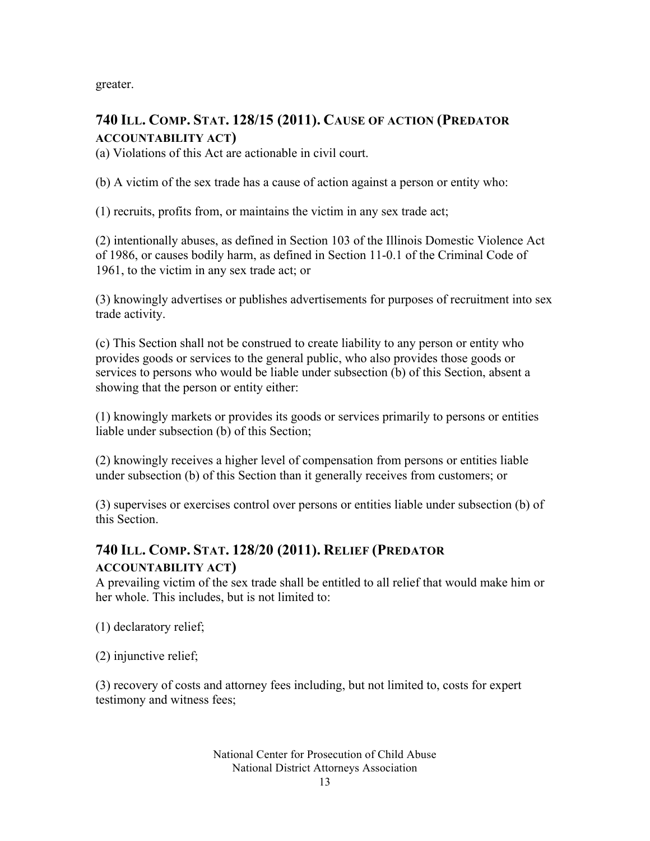greater.

#### **740 ILL. COMP. STAT. 128/15 (2011). CAUSE OF ACTION (PREDATOR ACCOUNTABILITY ACT)**

(a) Violations of this Act are actionable in civil court.

(b) A victim of the sex trade has a cause of action against a person or entity who:

(1) recruits, profits from, or maintains the victim in any sex trade act;

(2) intentionally abuses, as defined in Section 103 of the Illinois Domestic Violence Act of 1986, or causes bodily harm, as defined in Section 11-0.1 of the Criminal Code of 1961, to the victim in any sex trade act; or

(3) knowingly advertises or publishes advertisements for purposes of recruitment into sex trade activity.

(c) This Section shall not be construed to create liability to any person or entity who provides goods or services to the general public, who also provides those goods or services to persons who would be liable under subsection (b) of this Section, absent a showing that the person or entity either:

(1) knowingly markets or provides its goods or services primarily to persons or entities liable under subsection (b) of this Section;

(2) knowingly receives a higher level of compensation from persons or entities liable under subsection (b) of this Section than it generally receives from customers; or

(3) supervises or exercises control over persons or entities liable under subsection (b) of this Section.

### **740 ILL. COMP. STAT. 128/20 (2011). RELIEF (PREDATOR**

#### **ACCOUNTABILITY ACT)**

A prevailing victim of the sex trade shall be entitled to all relief that would make him or her whole. This includes, but is not limited to:

(1) declaratory relief;

(2) injunctive relief;

(3) recovery of costs and attorney fees including, but not limited to, costs for expert testimony and witness fees;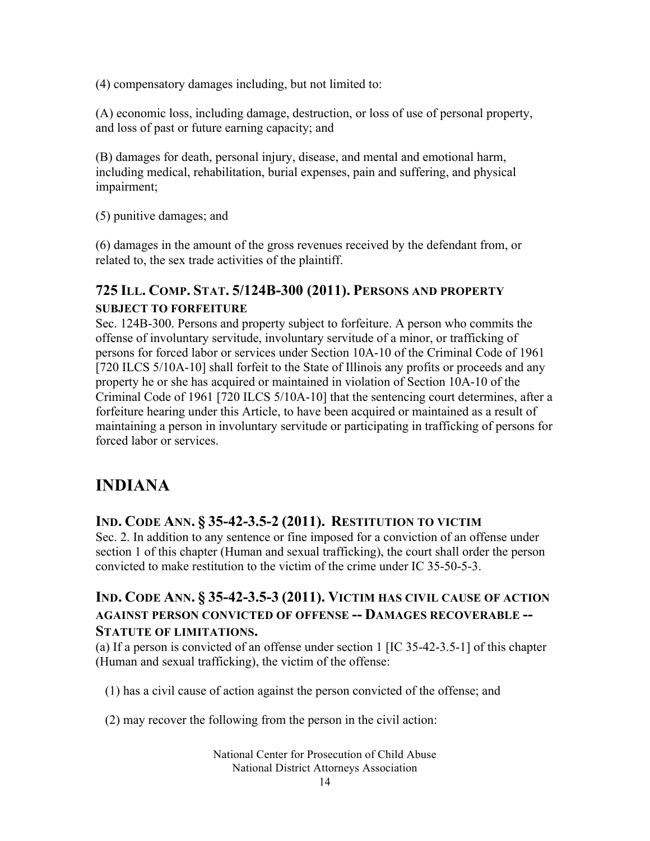(4) compensatory damages including, but not limited to:

(A) economic loss, including damage, destruction, or loss of use of personal property, and loss of past or future earning capacity; and

(B) damages for death, personal injury, disease, and mental and emotional harm, including medical, rehabilitation, burial expenses, pain and suffering, and physical impairment;

(5) punitive damages; and

(6) damages in the amount of the gross revenues received by the defendant from, or related to, the sex trade activities of the plaintiff.

#### **725 ILL. COMP. STAT. 5/124B-300 (2011). PERSONS AND PROPERTY SUBJECT TO FORFEITURE**

Sec. 124B-300. Persons and property subject to forfeiture. A person who commits the offense of involuntary servitude, involuntary servitude of a minor, or trafficking of persons for forced labor or services under Section 10A-10 of the Criminal Code of 1961 [720 ILCS 5/10A-10] shall forfeit to the State of Illinois any profits or proceeds and any property he or she has acquired or maintained in violation of Section 10A-10 of the Criminal Code of 1961 [720 ILCS 5/10A-10] that the sentencing court determines, after a forfeiture hearing under this Article, to have been acquired or maintained as a result of maintaining a person in involuntary servitude or participating in trafficking of persons for forced labor or services.

### **INDIANA**

#### **IND. CODE ANN. § 35-42-3.5-2 (2011). RESTITUTION TO VICTIM**

Sec. 2. In addition to any sentence or fine imposed for a conviction of an offense under section 1 of this chapter (Human and sexual trafficking), the court shall order the person convicted to make restitution to the victim of the crime under IC 35-50-5-3.

#### **IND. CODE ANN. § 35-42-3.5-3 (2011). VICTIM HAS CIVIL CAUSE OF ACTION AGAINST PERSON CONVICTED OF OFFENSE -- DAMAGES RECOVERABLE -- STATUTE OF LIMITATIONS.**

(a) If a person is convicted of an offense under section 1 [IC 35-42-3.5-1] of this chapter (Human and sexual trafficking), the victim of the offense:

(1) has a civil cause of action against the person convicted of the offense; and

(2) may recover the following from the person in the civil action: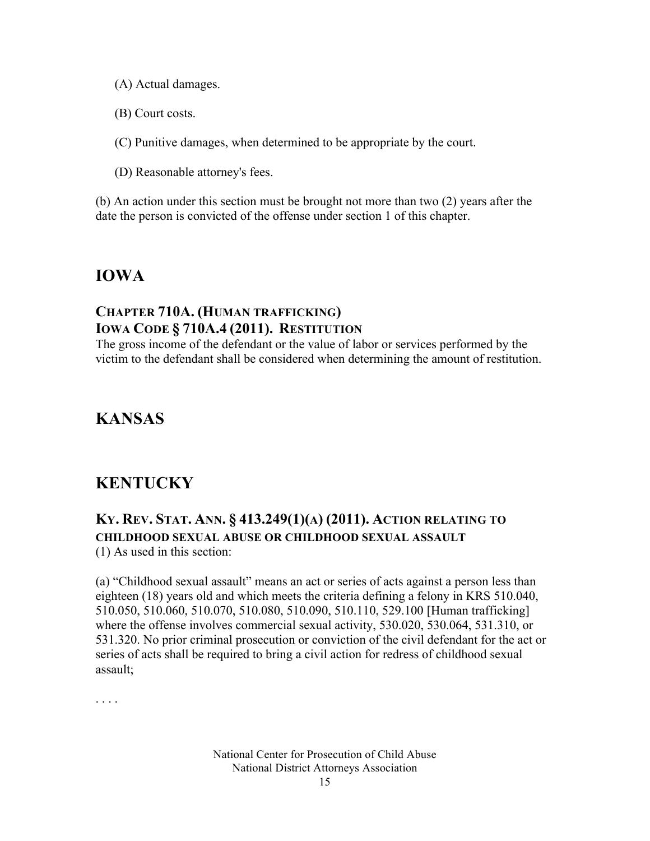- (A) Actual damages.
- (B) Court costs.
- (C) Punitive damages, when determined to be appropriate by the court.
- (D) Reasonable attorney's fees.

(b) An action under this section must be brought not more than two (2) years after the date the person is convicted of the offense under section 1 of this chapter.

#### **IOWA**

#### **CHAPTER 710A. (HUMAN TRAFFICKING) IOWA CODE § 710A.4 (2011). RESTITUTION**

The gross income of the defendant or the value of labor or services performed by the victim to the defendant shall be considered when determining the amount of restitution.

### **KANSAS**

### **KENTUCKY**

### **KY. REV. STAT. ANN. § 413.249(1)(A) (2011). ACTION RELATING TO CHILDHOOD SEXUAL ABUSE OR CHILDHOOD SEXUAL ASSAULT**

(1) As used in this section:

(a) "Childhood sexual assault" means an act or series of acts against a person less than eighteen (18) years old and which meets the criteria defining a felony in KRS 510.040, 510.050, 510.060, 510.070, 510.080, 510.090, 510.110, 529.100 [Human trafficking] where the offense involves commercial sexual activity, 530.020, 530.064, 531.310, or 531.320. No prior criminal prosecution or conviction of the civil defendant for the act or series of acts shall be required to bring a civil action for redress of childhood sexual assault;

. . . .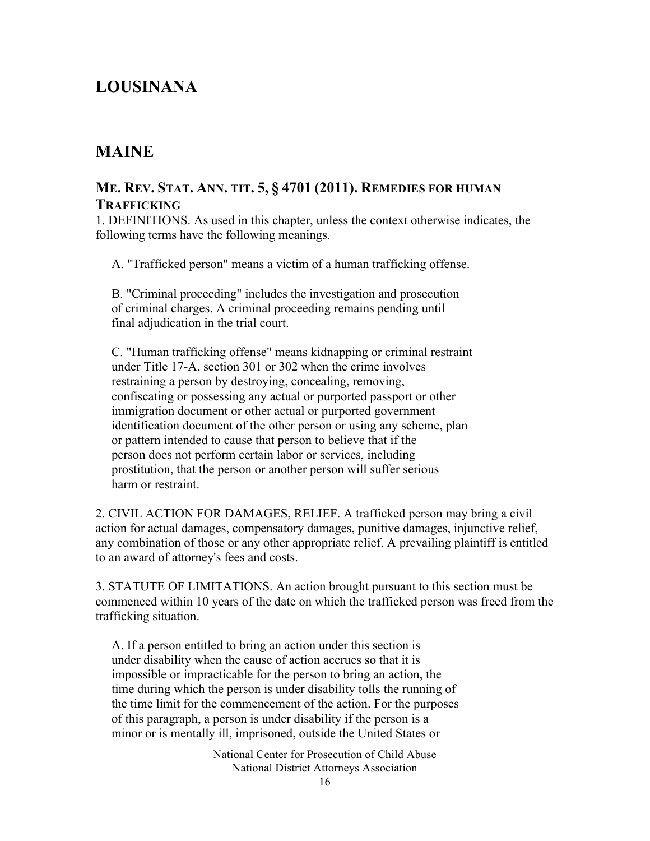### **LOUSINANA**

#### **MAINE**

#### **ME. REV. STAT. ANN. TIT. 5, § 4701 (2011). REMEDIES FOR HUMAN TRAFFICKING**

1. DEFINITIONS. As used in this chapter, unless the context otherwise indicates, the following terms have the following meanings.

A. "Trafficked person" means a victim of a human trafficking offense.

 B. "Criminal proceeding" includes the investigation and prosecution of criminal charges. A criminal proceeding remains pending until final adjudication in the trial court.

 C. "Human trafficking offense" means kidnapping or criminal restraint under Title 17-A, section 301 or 302 when the crime involves restraining a person by destroying, concealing, removing, confiscating or possessing any actual or purported passport or other immigration document or other actual or purported government identification document of the other person or using any scheme, plan or pattern intended to cause that person to believe that if the person does not perform certain labor or services, including prostitution, that the person or another person will suffer serious harm or restraint.

2. CIVIL ACTION FOR DAMAGES, RELIEF. A trafficked person may bring a civil action for actual damages, compensatory damages, punitive damages, injunctive relief, any combination of those or any other appropriate relief. A prevailing plaintiff is entitled to an award of attorney's fees and costs.

3. STATUTE OF LIMITATIONS. An action brought pursuant to this section must be commenced within 10 years of the date on which the trafficked person was freed from the trafficking situation.

 A. If a person entitled to bring an action under this section is under disability when the cause of action accrues so that it is impossible or impracticable for the person to bring an action, the time during which the person is under disability tolls the running of the time limit for the commencement of the action. For the purposes of this paragraph, a person is under disability if the person is a minor or is mentally ill, imprisoned, outside the United States or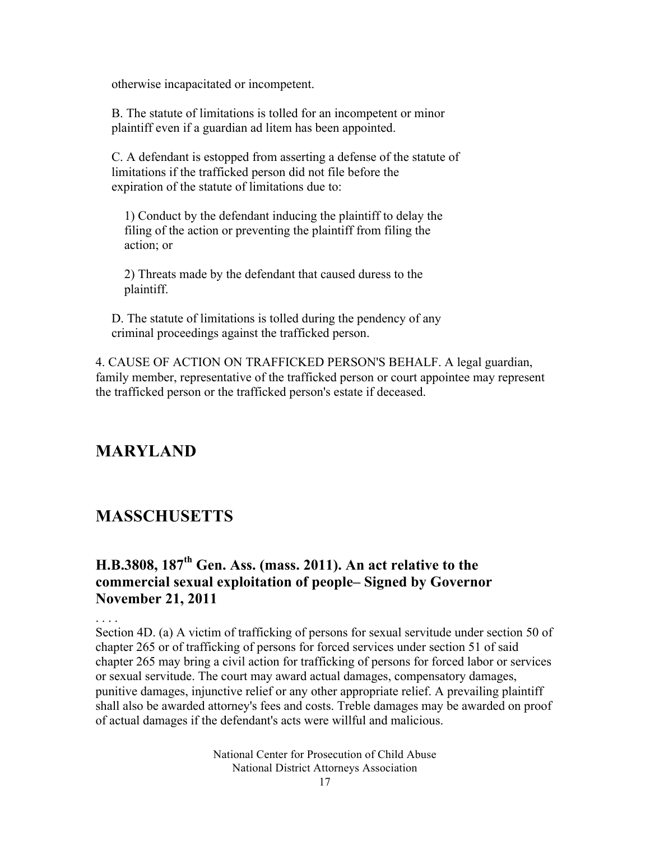otherwise incapacitated or incompetent.

 B. The statute of limitations is tolled for an incompetent or minor plaintiff even if a guardian ad litem has been appointed.

 C. A defendant is estopped from asserting a defense of the statute of limitations if the trafficked person did not file before the expiration of the statute of limitations due to:

 1) Conduct by the defendant inducing the plaintiff to delay the filing of the action or preventing the plaintiff from filing the action; or

 2) Threats made by the defendant that caused duress to the plaintiff.

 D. The statute of limitations is tolled during the pendency of any criminal proceedings against the trafficked person.

4. CAUSE OF ACTION ON TRAFFICKED PERSON'S BEHALF. A legal guardian, family member, representative of the trafficked person or court appointee may represent the trafficked person or the trafficked person's estate if deceased.

### **MARYLAND**

#### **MASSCHUSETTS**

#### **H.B.3808, 187th Gen. Ass. (mass. 2011). An act relative to the commercial sexual exploitation of people– Signed by Governor November 21, 2011**

. . . . Section 4D. (a) A victim of trafficking of persons for sexual servitude under section 50 of chapter 265 or of trafficking of persons for forced services under section 51 of said chapter 265 may bring a civil action for trafficking of persons for forced labor or services or sexual servitude. The court may award actual damages, compensatory damages, punitive damages, injunctive relief or any other appropriate relief. A prevailing plaintiff shall also be awarded attorney's fees and costs. Treble damages may be awarded on proof of actual damages if the defendant's acts were willful and malicious.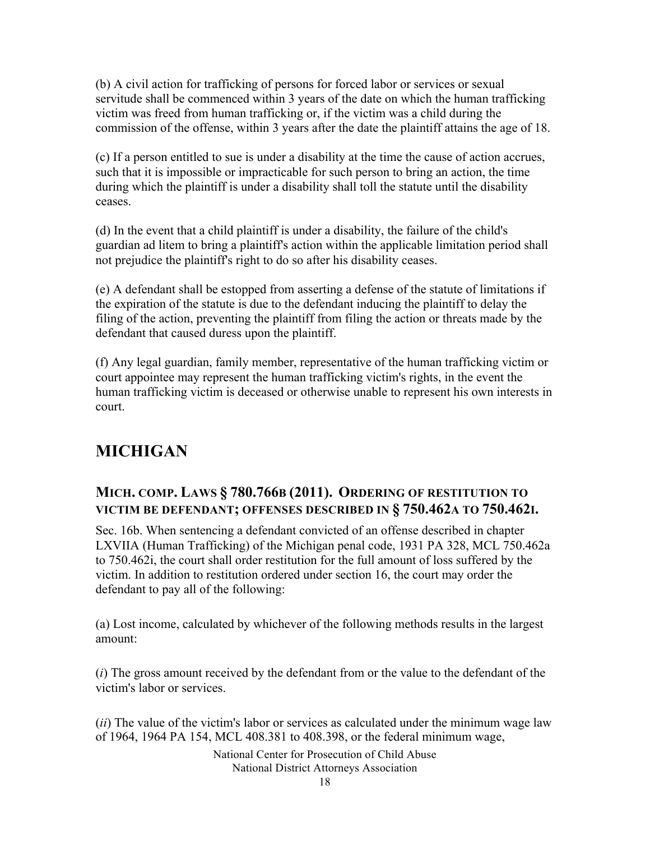(b) A civil action for trafficking of persons for forced labor or services or sexual servitude shall be commenced within 3 years of the date on which the human trafficking victim was freed from human trafficking or, if the victim was a child during the commission of the offense, within 3 years after the date the plaintiff attains the age of 18.

(c) If a person entitled to sue is under a disability at the time the cause of action accrues, such that it is impossible or impracticable for such person to bring an action, the time during which the plaintiff is under a disability shall toll the statute until the disability ceases.

(d) In the event that a child plaintiff is under a disability, the failure of the child's guardian ad litem to bring a plaintiff's action within the applicable limitation period shall not prejudice the plaintiff's right to do so after his disability ceases.

(e) A defendant shall be estopped from asserting a defense of the statute of limitations if the expiration of the statute is due to the defendant inducing the plaintiff to delay the filing of the action, preventing the plaintiff from filing the action or threats made by the defendant that caused duress upon the plaintiff.

(f) Any legal guardian, family member, representative of the human trafficking victim or court appointee may represent the human trafficking victim's rights, in the event the human trafficking victim is deceased or otherwise unable to represent his own interests in court.

### **MICHIGAN**

#### **MICH. COMP. LAWS § 780.766B (2011). ORDERING OF RESTITUTION TO VICTIM BE DEFENDANT; OFFENSES DESCRIBED IN § 750.462A TO 750.462I.**

Sec. 16b. When sentencing a defendant convicted of an offense described in chapter LXVIIA (Human Trafficking) of the Michigan penal code, 1931 PA 328, MCL 750.462a to 750.462i, the court shall order restitution for the full amount of loss suffered by the victim. In addition to restitution ordered under section 16, the court may order the defendant to pay all of the following:

(a) Lost income, calculated by whichever of the following methods results in the largest amount:

(*i*) The gross amount received by the defendant from or the value to the defendant of the victim's labor or services.

(*ii*) The value of the victim's labor or services as calculated under the minimum wage law of 1964, 1964 PA 154, MCL 408.381 to 408.398, or the federal minimum wage,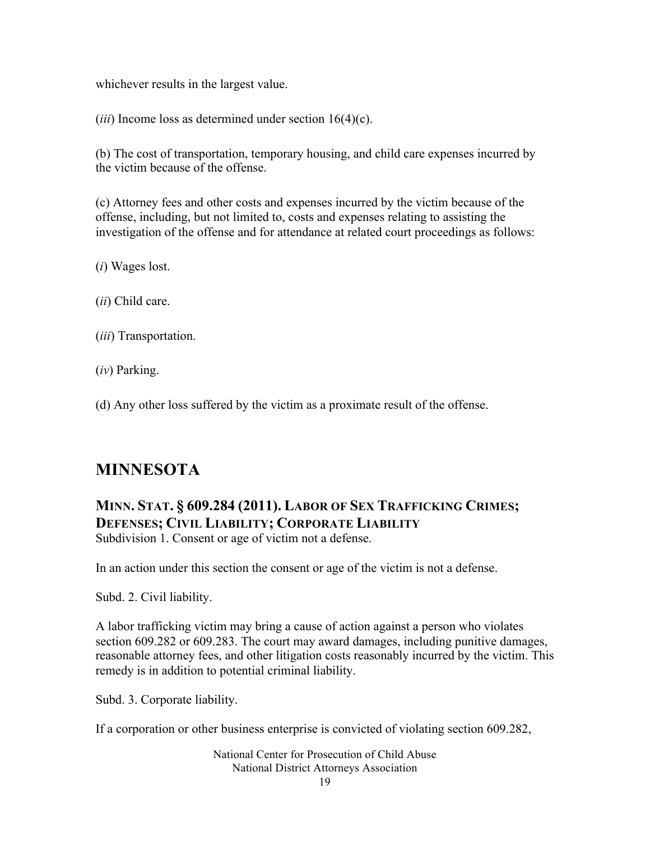whichever results in the largest value.

(*iii*) Income loss as determined under section 16(4)(c).

(b) The cost of transportation, temporary housing, and child care expenses incurred by the victim because of the offense.

(c) Attorney fees and other costs and expenses incurred by the victim because of the offense, including, but not limited to, costs and expenses relating to assisting the investigation of the offense and for attendance at related court proceedings as follows:

(*i*) Wages lost.

(*ii*) Child care.

(*iii*) Transportation.

(*iv*) Parking.

(d) Any other loss suffered by the victim as a proximate result of the offense.

### **MINNESOTA**

#### **MINN. STAT. § 609.284 (2011). LABOR OF SEX TRAFFICKING CRIMES; DEFENSES; CIVIL LIABILITY; CORPORATE LIABILITY** Subdivision 1. Consent or age of victim not a defense.

In an action under this section the consent or age of the victim is not a defense.

Subd. 2. Civil liability.

A labor trafficking victim may bring a cause of action against a person who violates section 609.282 or 609.283. The court may award damages, including punitive damages, reasonable attorney fees, and other litigation costs reasonably incurred by the victim. This remedy is in addition to potential criminal liability.

Subd. 3. Corporate liability.

If a corporation or other business enterprise is convicted of violating section 609.282,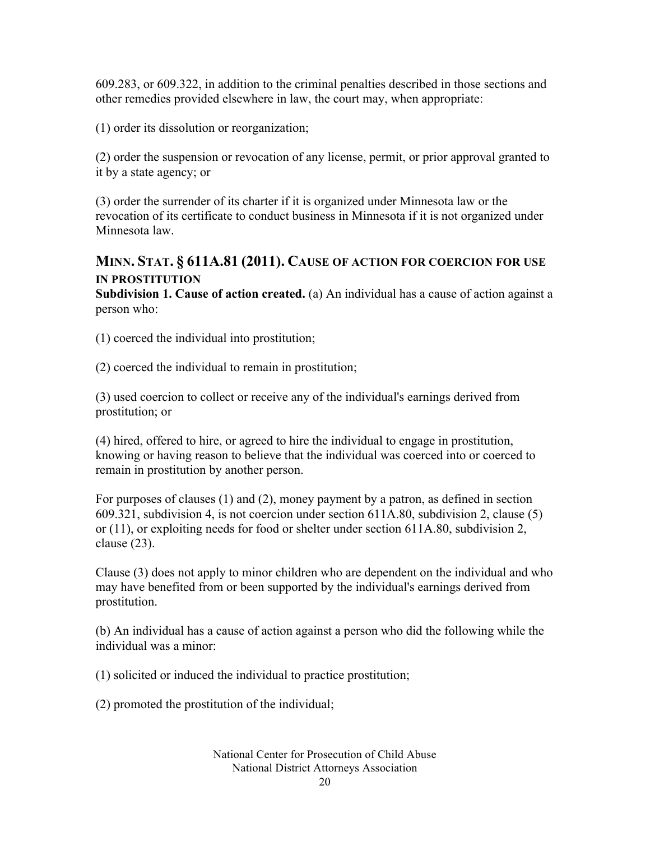609.283, or 609.322, in addition to the criminal penalties described in those sections and other remedies provided elsewhere in law, the court may, when appropriate:

(1) order its dissolution or reorganization;

(2) order the suspension or revocation of any license, permit, or prior approval granted to it by a state agency; or

(3) order the surrender of its charter if it is organized under Minnesota law or the revocation of its certificate to conduct business in Minnesota if it is not organized under Minnesota law.

#### **MINN. STAT. § 611A.81 (2011). CAUSE OF ACTION FOR COERCION FOR USE IN PROSTITUTION**

**Subdivision 1. Cause of action created.** (a) An individual has a cause of action against a person who:

(1) coerced the individual into prostitution;

(2) coerced the individual to remain in prostitution;

(3) used coercion to collect or receive any of the individual's earnings derived from prostitution; or

(4) hired, offered to hire, or agreed to hire the individual to engage in prostitution, knowing or having reason to believe that the individual was coerced into or coerced to remain in prostitution by another person.

For purposes of clauses (1) and (2), money payment by a patron, as defined in section 609.321, subdivision 4, is not coercion under section 611A.80, subdivision 2, clause (5) or (11), or exploiting needs for food or shelter under section 611A.80, subdivision 2, clause (23).

Clause (3) does not apply to minor children who are dependent on the individual and who may have benefited from or been supported by the individual's earnings derived from prostitution.

(b) An individual has a cause of action against a person who did the following while the individual was a minor:

(1) solicited or induced the individual to practice prostitution;

(2) promoted the prostitution of the individual;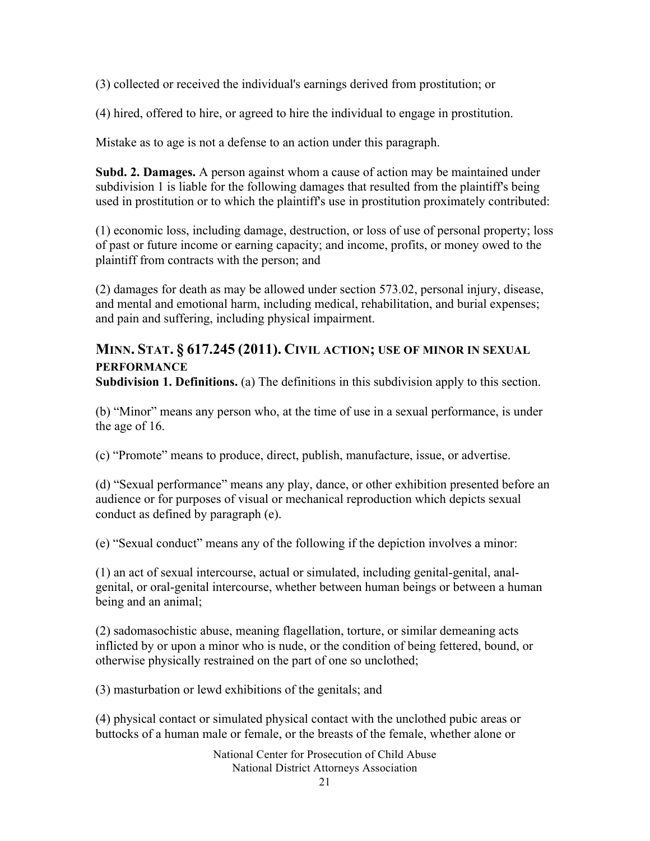(3) collected or received the individual's earnings derived from prostitution; or

(4) hired, offered to hire, or agreed to hire the individual to engage in prostitution.

Mistake as to age is not a defense to an action under this paragraph.

**Subd. 2. Damages.** A person against whom a cause of action may be maintained under subdivision 1 is liable for the following damages that resulted from the plaintiff's being used in prostitution or to which the plaintiff's use in prostitution proximately contributed:

(1) economic loss, including damage, destruction, or loss of use of personal property; loss of past or future income or earning capacity; and income, profits, or money owed to the plaintiff from contracts with the person; and

(2) damages for death as may be allowed under section 573.02, personal injury, disease, and mental and emotional harm, including medical, rehabilitation, and burial expenses; and pain and suffering, including physical impairment.

#### **MINN. STAT. § 617.245 (2011). CIVIL ACTION; USE OF MINOR IN SEXUAL PERFORMANCE**

**Subdivision 1. Definitions.** (a) The definitions in this subdivision apply to this section.

(b) "Minor" means any person who, at the time of use in a sexual performance, is under the age of 16.

(c) "Promote" means to produce, direct, publish, manufacture, issue, or advertise.

(d) "Sexual performance" means any play, dance, or other exhibition presented before an audience or for purposes of visual or mechanical reproduction which depicts sexual conduct as defined by paragraph (e).

(e) "Sexual conduct" means any of the following if the depiction involves a minor:

(1) an act of sexual intercourse, actual or simulated, including genital-genital, analgenital, or oral-genital intercourse, whether between human beings or between a human being and an animal;

(2) sadomasochistic abuse, meaning flagellation, torture, or similar demeaning acts inflicted by or upon a minor who is nude, or the condition of being fettered, bound, or otherwise physically restrained on the part of one so unclothed;

(3) masturbation or lewd exhibitions of the genitals; and

(4) physical contact or simulated physical contact with the unclothed pubic areas or buttocks of a human male or female, or the breasts of the female, whether alone or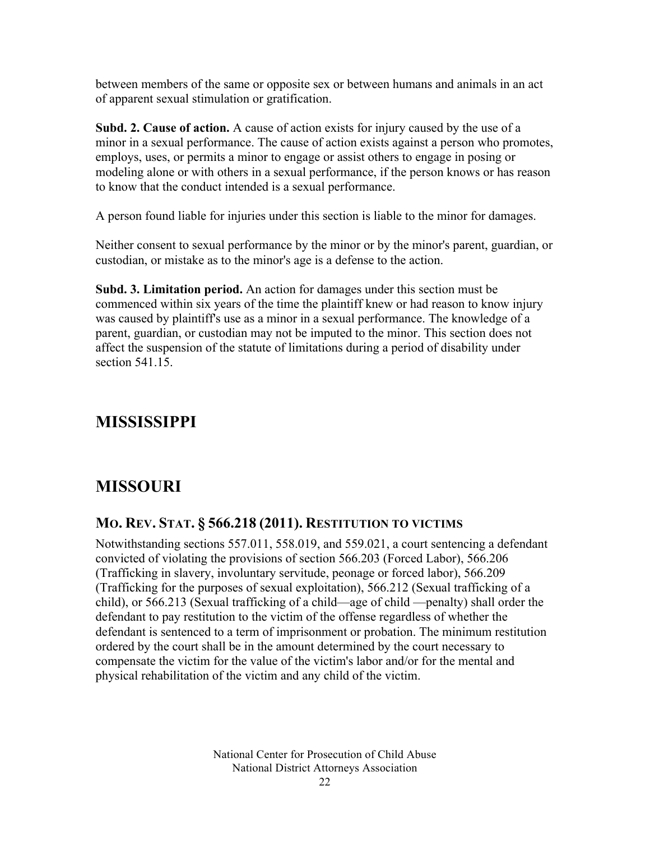between members of the same or opposite sex or between humans and animals in an act of apparent sexual stimulation or gratification.

**Subd. 2. Cause of action.** A cause of action exists for injury caused by the use of a minor in a sexual performance. The cause of action exists against a person who promotes, employs, uses, or permits a minor to engage or assist others to engage in posing or modeling alone or with others in a sexual performance, if the person knows or has reason to know that the conduct intended is a sexual performance.

A person found liable for injuries under this section is liable to the minor for damages.

Neither consent to sexual performance by the minor or by the minor's parent, guardian, or custodian, or mistake as to the minor's age is a defense to the action.

**Subd. 3. Limitation period.** An action for damages under this section must be commenced within six years of the time the plaintiff knew or had reason to know injury was caused by plaintiff's use as a minor in a sexual performance. The knowledge of a parent, guardian, or custodian may not be imputed to the minor. This section does not affect the suspension of the statute of limitations during a period of disability under section 541.15

### **MISSISSIPPI**

### **MISSOURI**

#### **MO. REV. STAT. § 566.218 (2011). RESTITUTION TO VICTIMS**

Notwithstanding sections 557.011, 558.019, and 559.021, a court sentencing a defendant convicted of violating the provisions of section 566.203 (Forced Labor), 566.206 (Trafficking in slavery, involuntary servitude, peonage or forced labor), 566.209 (Trafficking for the purposes of sexual exploitation), 566.212 (Sexual trafficking of a child), or 566.213 (Sexual trafficking of a child—age of child —penalty) shall order the defendant to pay restitution to the victim of the offense regardless of whether the defendant is sentenced to a term of imprisonment or probation. The minimum restitution ordered by the court shall be in the amount determined by the court necessary to compensate the victim for the value of the victim's labor and/or for the mental and physical rehabilitation of the victim and any child of the victim.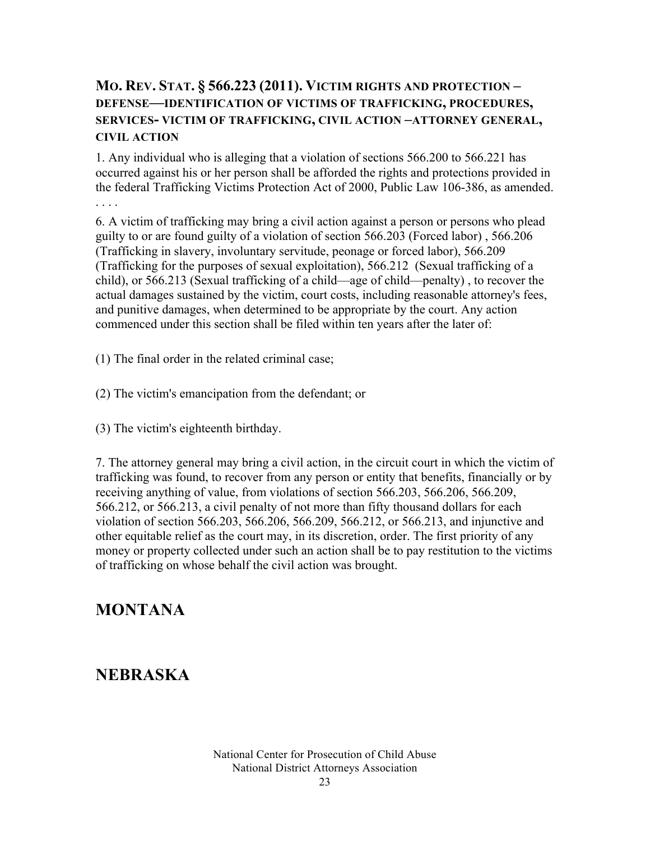#### **MO. REV. STAT. § 566.223 (2011). VICTIM RIGHTS AND PROTECTION – DEFENSE—IDENTIFICATION OF VICTIMS OF TRAFFICKING, PROCEDURES, SERVICES- VICTIM OF TRAFFICKING, CIVIL ACTION –ATTORNEY GENERAL, CIVIL ACTION**

1. Any individual who is alleging that a violation of sections 566.200 to 566.221 has occurred against his or her person shall be afforded the rights and protections provided in the federal Trafficking Victims Protection Act of 2000, Public Law 106-386, as amended. . . . .

6. A victim of trafficking may bring a civil action against a person or persons who plead guilty to or are found guilty of a violation of section 566.203 (Forced labor) , 566.206 (Trafficking in slavery, involuntary servitude, peonage or forced labor), 566.209 (Trafficking for the purposes of sexual exploitation), 566.212 (Sexual trafficking of a child), or 566.213 (Sexual trafficking of a child—age of child—penalty) , to recover the actual damages sustained by the victim, court costs, including reasonable attorney's fees, and punitive damages, when determined to be appropriate by the court. Any action commenced under this section shall be filed within ten years after the later of:

(1) The final order in the related criminal case;

(2) The victim's emancipation from the defendant; or

(3) The victim's eighteenth birthday.

7. The attorney general may bring a civil action, in the circuit court in which the victim of trafficking was found, to recover from any person or entity that benefits, financially or by receiving anything of value, from violations of section 566.203, 566.206, 566.209, 566.212, or 566.213, a civil penalty of not more than fifty thousand dollars for each violation of section 566.203, 566.206, 566.209, 566.212, or 566.213, and injunctive and other equitable relief as the court may, in its discretion, order. The first priority of any money or property collected under such an action shall be to pay restitution to the victims of trafficking on whose behalf the civil action was brought.

### **MONTANA**

### **NEBRASKA**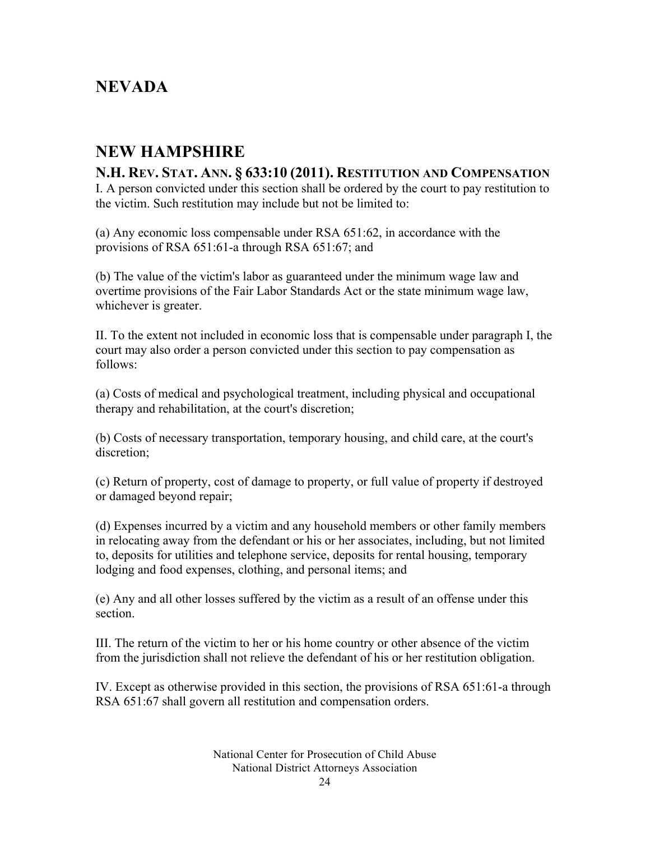### **NEVADA**

### **NEW HAMPSHIRE**

## **N.H. REV. STAT. ANN. § 633:10 (2011). RESTITUTION AND COMPENSATION**

I. A person convicted under this section shall be ordered by the court to pay restitution to the victim. Such restitution may include but not be limited to:

(a) Any economic loss compensable under RSA 651:62, in accordance with the provisions of RSA 651:61-a through RSA 651:67; and

(b) The value of the victim's labor as guaranteed under the minimum wage law and overtime provisions of the Fair Labor Standards Act or the state minimum wage law, whichever is greater.

II. To the extent not included in economic loss that is compensable under paragraph I, the court may also order a person convicted under this section to pay compensation as follows:

(a) Costs of medical and psychological treatment, including physical and occupational therapy and rehabilitation, at the court's discretion;

(b) Costs of necessary transportation, temporary housing, and child care, at the court's discretion;

(c) Return of property, cost of damage to property, or full value of property if destroyed or damaged beyond repair;

(d) Expenses incurred by a victim and any household members or other family members in relocating away from the defendant or his or her associates, including, but not limited to, deposits for utilities and telephone service, deposits for rental housing, temporary lodging and food expenses, clothing, and personal items; and

(e) Any and all other losses suffered by the victim as a result of an offense under this section.

III. The return of the victim to her or his home country or other absence of the victim from the jurisdiction shall not relieve the defendant of his or her restitution obligation.

IV. Except as otherwise provided in this section, the provisions of RSA 651:61-a through RSA 651:67 shall govern all restitution and compensation orders.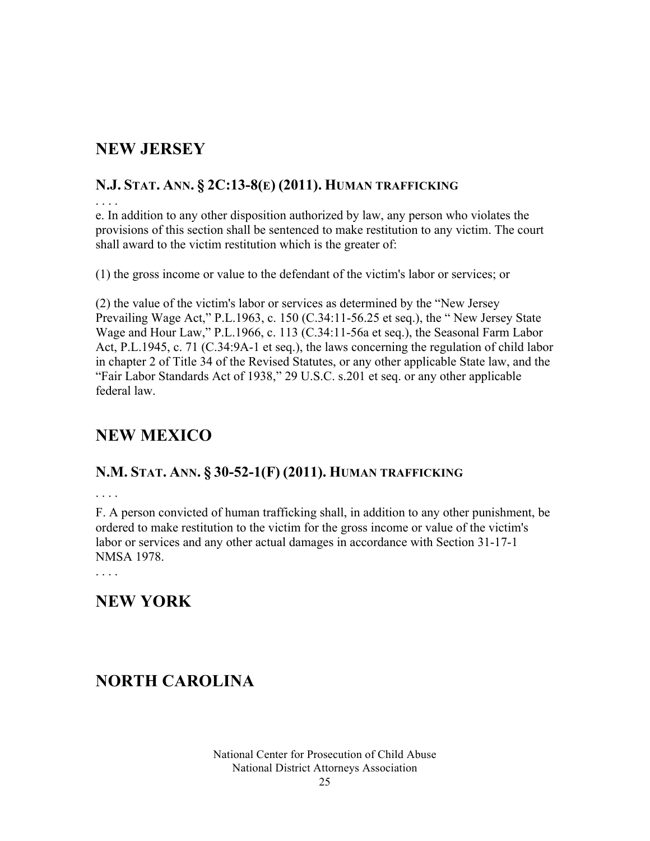### **NEW JERSEY**

#### **N.J. STAT. ANN. § 2C:13-8(E) (2011). HUMAN TRAFFICKING**

. . . .

e. In addition to any other disposition authorized by law, any person who violates the provisions of this section shall be sentenced to make restitution to any victim. The court shall award to the victim restitution which is the greater of:

(1) the gross income or value to the defendant of the victim's labor or services; or

(2) the value of the victim's labor or services as determined by the "New Jersey Prevailing Wage Act," P.L.1963, c. 150 (C.34:11-56.25 et seq.), the " New Jersey State Wage and Hour Law," P.L.1966, c. 113 (C.34:11-56a et seq.), the Seasonal Farm Labor Act, P.L.1945, c. 71 (C.34:9A-1 et seq.), the laws concerning the regulation of child labor in chapter 2 of Title 34 of the Revised Statutes, or any other applicable State law, and the "Fair Labor Standards Act of 1938," 29 U.S.C. s.201 et seq. or any other applicable federal law.

### **NEW MEXICO**

#### **N.M. STAT. ANN. § 30-52-1(F) (2011). HUMAN TRAFFICKING**

F. A person convicted of human trafficking shall, in addition to any other punishment, be ordered to make restitution to the victim for the gross income or value of the victim's labor or services and any other actual damages in accordance with Section 31-17-1 NMSA 1978.

### **NEW YORK**

### **NORTH CAROLINA**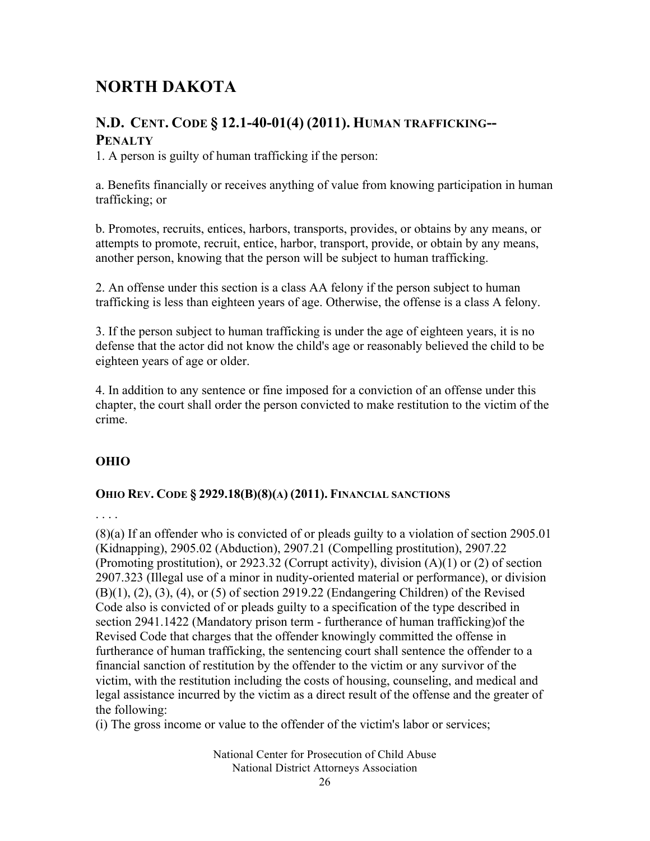### **NORTH DAKOTA**

#### **N.D. CENT. CODE § 12.1-40-01(4) (2011). HUMAN TRAFFICKING-- PENALTY**

1. A person is guilty of human trafficking if the person:

a. Benefits financially or receives anything of value from knowing participation in human trafficking; or

b. Promotes, recruits, entices, harbors, transports, provides, or obtains by any means, or attempts to promote, recruit, entice, harbor, transport, provide, or obtain by any means, another person, knowing that the person will be subject to human trafficking.

2. An offense under this section is a class AA felony if the person subject to human trafficking is less than eighteen years of age. Otherwise, the offense is a class A felony.

3. If the person subject to human trafficking is under the age of eighteen years, it is no defense that the actor did not know the child's age or reasonably believed the child to be eighteen years of age or older.

4. In addition to any sentence or fine imposed for a conviction of an offense under this chapter, the court shall order the person convicted to make restitution to the victim of the crime.

#### **OHIO**

#### **OHIO REV. CODE § 2929.18(B)(8)(A) (2011). FINANCIAL SANCTIONS**

. . . .

(8)(a) If an offender who is convicted of or pleads guilty to a violation of section 2905.01 (Kidnapping), 2905.02 (Abduction), 2907.21 (Compelling prostitution), 2907.22 (Promoting prostitution), or 2923.32 (Corrupt activity), division (A)(1) or (2) of section 2907.323 (Illegal use of a minor in nudity-oriented material or performance), or division (B)(1), (2), (3), (4), or (5) of section 2919.22 (Endangering Children) of the Revised Code also is convicted of or pleads guilty to a specification of the type described in section 2941.1422 (Mandatory prison term - furtherance of human trafficking)of the Revised Code that charges that the offender knowingly committed the offense in furtherance of human trafficking, the sentencing court shall sentence the offender to a financial sanction of restitution by the offender to the victim or any survivor of the victim, with the restitution including the costs of housing, counseling, and medical and legal assistance incurred by the victim as a direct result of the offense and the greater of the following:

(i) The gross income or value to the offender of the victim's labor or services;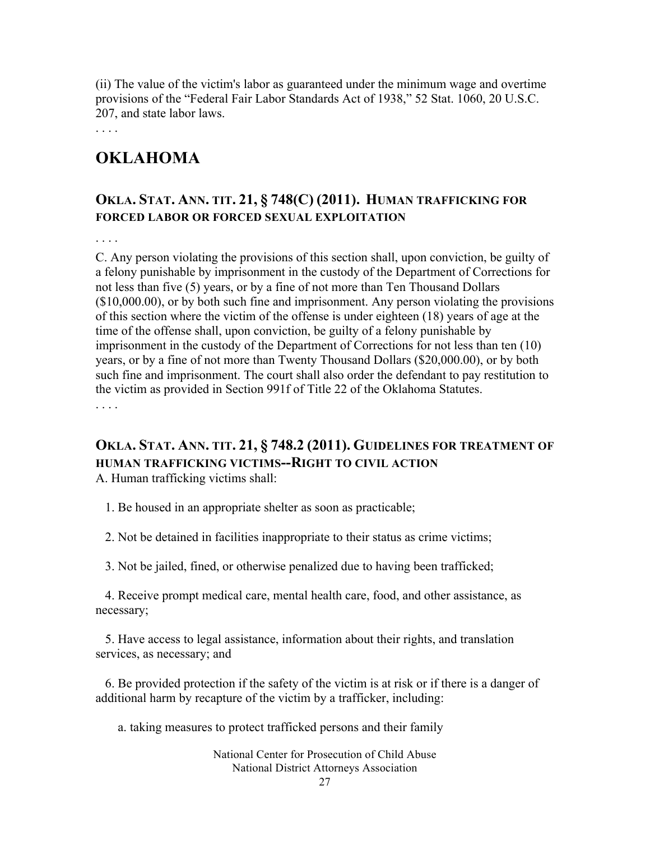(ii) The value of the victim's labor as guaranteed under the minimum wage and overtime provisions of the "Federal Fair Labor Standards Act of 1938," 52 Stat. 1060, 20 U.S.C. 207, and state labor laws.

. . . .

### **OKLAHOMA**

#### **OKLA. STAT. ANN. TIT. 21, § 748(C) (2011). HUMAN TRAFFICKING FOR FORCED LABOR OR FORCED SEXUAL EXPLOITATION**

. . . .

C. Any person violating the provisions of this section shall, upon conviction, be guilty of a felony punishable by imprisonment in the custody of the Department of Corrections for not less than five (5) years, or by a fine of not more than Ten Thousand Dollars (\$10,000.00), or by both such fine and imprisonment. Any person violating the provisions of this section where the victim of the offense is under eighteen (18) years of age at the time of the offense shall, upon conviction, be guilty of a felony punishable by imprisonment in the custody of the Department of Corrections for not less than ten (10) years, or by a fine of not more than Twenty Thousand Dollars (\$20,000.00), or by both such fine and imprisonment. The court shall also order the defendant to pay restitution to the victim as provided in Section 991f of Title 22 of the Oklahoma Statutes. . . . .

### **OKLA. STAT. ANN. TIT. 21, § 748.2 (2011). GUIDELINES FOR TREATMENT OF HUMAN TRAFFICKING VICTIMS--RIGHT TO CIVIL ACTION**

A. Human trafficking victims shall:

1. Be housed in an appropriate shelter as soon as practicable;

2. Not be detained in facilities inappropriate to their status as crime victims;

3. Not be jailed, fined, or otherwise penalized due to having been trafficked;

 4. Receive prompt medical care, mental health care, food, and other assistance, as necessary;

 5. Have access to legal assistance, information about their rights, and translation services, as necessary; and

 6. Be provided protection if the safety of the victim is at risk or if there is a danger of additional harm by recapture of the victim by a trafficker, including:

a. taking measures to protect trafficked persons and their family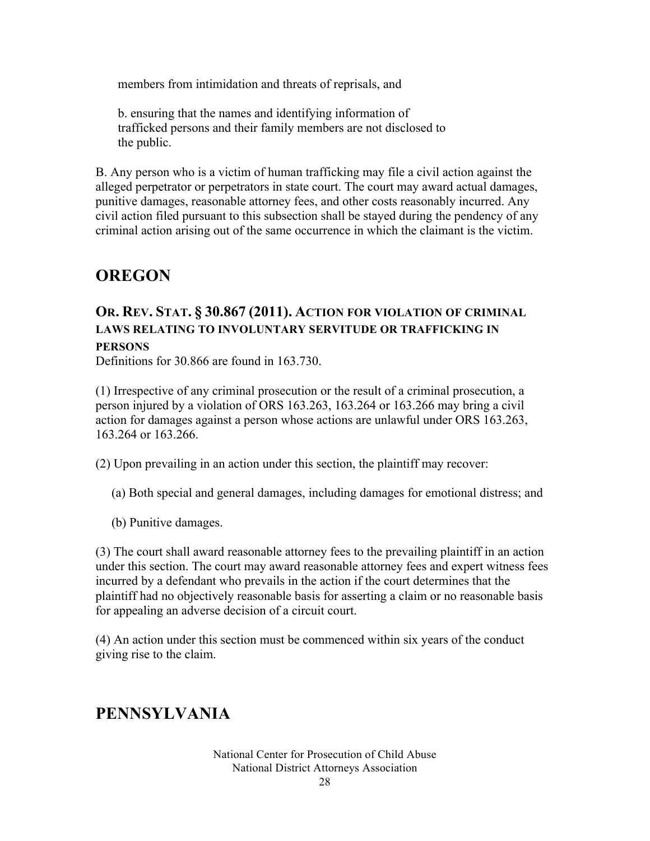members from intimidation and threats of reprisals, and

 b. ensuring that the names and identifying information of trafficked persons and their family members are not disclosed to the public.

B. Any person who is a victim of human trafficking may file a civil action against the alleged perpetrator or perpetrators in state court. The court may award actual damages, punitive damages, reasonable attorney fees, and other costs reasonably incurred. Any civil action filed pursuant to this subsection shall be stayed during the pendency of any criminal action arising out of the same occurrence in which the claimant is the victim.

### **OREGON**

#### **OR. REV. STAT. § 30.867 (2011). ACTION FOR VIOLATION OF CRIMINAL LAWS RELATING TO INVOLUNTARY SERVITUDE OR TRAFFICKING IN PERSONS**

Definitions for 30.866 are found in 163.730.

(1) Irrespective of any criminal prosecution or the result of a criminal prosecution, a person injured by a violation of ORS 163.263, 163.264 or 163.266 may bring a civil action for damages against a person whose actions are unlawful under ORS 163.263, 163.264 or 163.266.

(2) Upon prevailing in an action under this section, the plaintiff may recover:

- (a) Both special and general damages, including damages for emotional distress; and
- (b) Punitive damages.

(3) The court shall award reasonable attorney fees to the prevailing plaintiff in an action under this section. The court may award reasonable attorney fees and expert witness fees incurred by a defendant who prevails in the action if the court determines that the plaintiff had no objectively reasonable basis for asserting a claim or no reasonable basis for appealing an adverse decision of a circuit court.

(4) An action under this section must be commenced within six years of the conduct giving rise to the claim.

### **PENNSYLVANIA**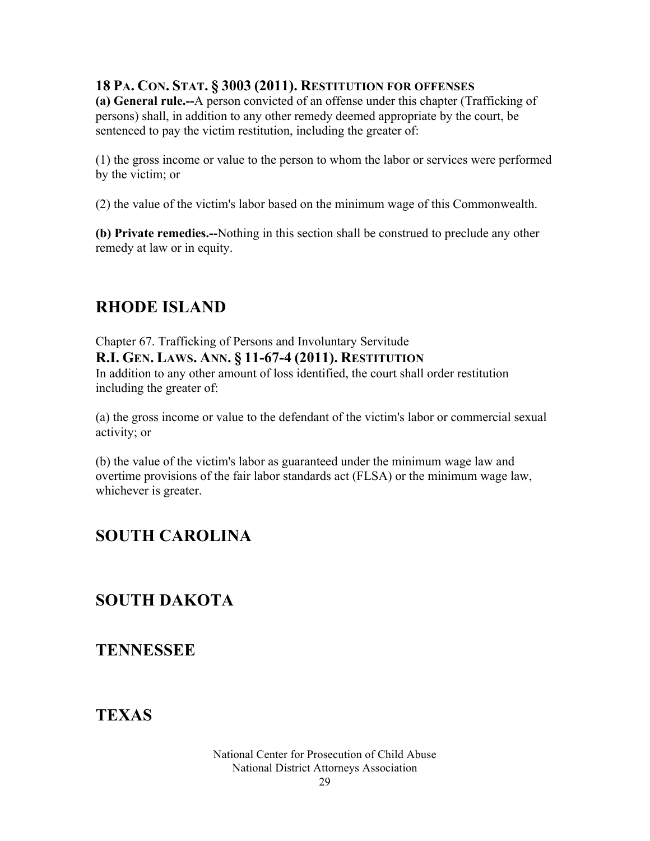#### **18 PA. CON. STAT. § 3003 (2011). RESTITUTION FOR OFFENSES**

**(a) General rule.--**A person convicted of an offense under this chapter (Trafficking of persons) shall, in addition to any other remedy deemed appropriate by the court, be sentenced to pay the victim restitution, including the greater of:

(1) the gross income or value to the person to whom the labor or services were performed by the victim; or

(2) the value of the victim's labor based on the minimum wage of this Commonwealth.

**(b) Private remedies.--**Nothing in this section shall be construed to preclude any other remedy at law or in equity.

### **RHODE ISLAND**

Chapter 67. Trafficking of Persons and Involuntary Servitude **R.I. GEN. LAWS. ANN. § 11-67-4 (2011). RESTITUTION** In addition to any other amount of loss identified, the court shall order restitution including the greater of:

(a) the gross income or value to the defendant of the victim's labor or commercial sexual activity; or

(b) the value of the victim's labor as guaranteed under the minimum wage law and overtime provisions of the fair labor standards act (FLSA) or the minimum wage law, whichever is greater.

### **SOUTH CAROLINA**

### **SOUTH DAKOTA**

**TENNESSEE**

### **TEXAS**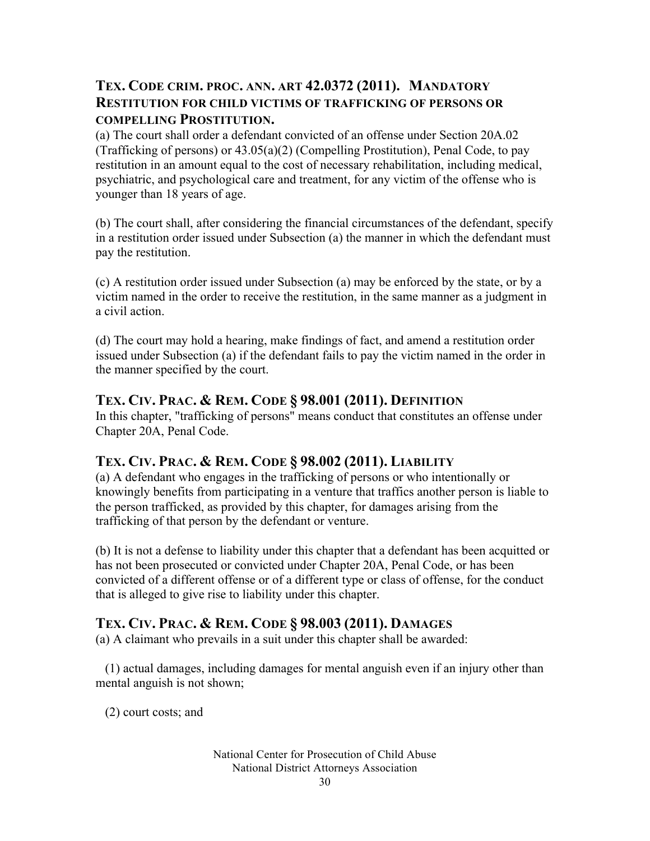#### **TEX. CODE CRIM. PROC. ANN. ART 42.0372 (2011). MANDATORY RESTITUTION FOR CHILD VICTIMS OF TRAFFICKING OF PERSONS OR COMPELLING PROSTITUTION.**

(a) The court shall order a defendant convicted of an offense under Section 20A.02 (Trafficking of persons) or 43.05(a)(2) (Compelling Prostitution), Penal Code, to pay restitution in an amount equal to the cost of necessary rehabilitation, including medical, psychiatric, and psychological care and treatment, for any victim of the offense who is younger than 18 years of age.

(b) The court shall, after considering the financial circumstances of the defendant, specify in a restitution order issued under Subsection (a) the manner in which the defendant must pay the restitution.

(c) A restitution order issued under Subsection (a) may be enforced by the state, or by a victim named in the order to receive the restitution, in the same manner as a judgment in a civil action.

(d) The court may hold a hearing, make findings of fact, and amend a restitution order issued under Subsection (a) if the defendant fails to pay the victim named in the order in the manner specified by the court.

#### **TEX. CIV. PRAC. & REM. CODE § 98.001 (2011). DEFINITION**

In this chapter, "trafficking of persons" means conduct that constitutes an offense under Chapter 20A, Penal Code.

#### **TEX. CIV. PRAC. & REM. CODE § 98.002 (2011). LIABILITY**

(a) A defendant who engages in the trafficking of persons or who intentionally or knowingly benefits from participating in a venture that traffics another person is liable to the person trafficked, as provided by this chapter, for damages arising from the trafficking of that person by the defendant or venture.

(b) It is not a defense to liability under this chapter that a defendant has been acquitted or has not been prosecuted or convicted under Chapter 20A, Penal Code, or has been convicted of a different offense or of a different type or class of offense, for the conduct that is alleged to give rise to liability under this chapter.

#### **TEX. CIV. PRAC. & REM. CODE § 98.003 (2011). DAMAGES**

(a) A claimant who prevails in a suit under this chapter shall be awarded:

 (1) actual damages, including damages for mental anguish even if an injury other than mental anguish is not shown;

(2) court costs; and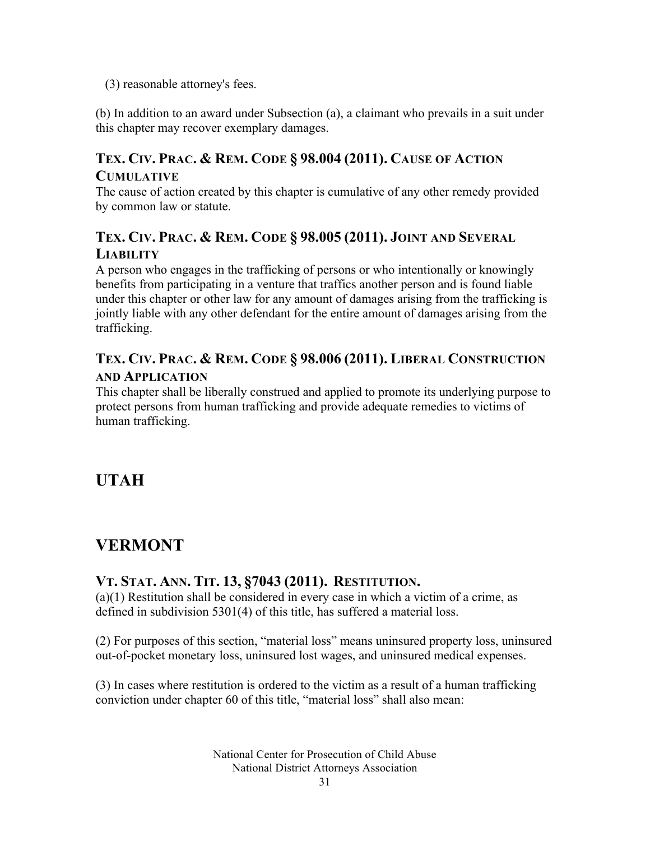(3) reasonable attorney's fees.

(b) In addition to an award under Subsection (a), a claimant who prevails in a suit under this chapter may recover exemplary damages.

#### **TEX. CIV. PRAC. & REM. CODE § 98.004 (2011). CAUSE OF ACTION CUMULATIVE**

The cause of action created by this chapter is cumulative of any other remedy provided by common law or statute.

#### **TEX. CIV. PRAC. & REM. CODE § 98.005 (2011). JOINT AND SEVERAL LIABILITY**

A person who engages in the trafficking of persons or who intentionally or knowingly benefits from participating in a venture that traffics another person and is found liable under this chapter or other law for any amount of damages arising from the trafficking is jointly liable with any other defendant for the entire amount of damages arising from the trafficking.

#### **TEX. CIV. PRAC. & REM. CODE § 98.006 (2011). LIBERAL CONSTRUCTION AND APPLICATION**

This chapter shall be liberally construed and applied to promote its underlying purpose to protect persons from human trafficking and provide adequate remedies to victims of human trafficking.

### **UTAH**

### **VERMONT**

#### **VT. STAT. ANN. TIT. 13, §7043 (2011). RESTITUTION.**

(a)(1) Restitution shall be considered in every case in which a victim of a crime, as defined in subdivision 5301(4) of this title, has suffered a material loss.

(2) For purposes of this section, "material loss" means uninsured property loss, uninsured out-of-pocket monetary loss, uninsured lost wages, and uninsured medical expenses.

(3) In cases where restitution is ordered to the victim as a result of a human trafficking conviction under chapter 60 of this title, "material loss" shall also mean: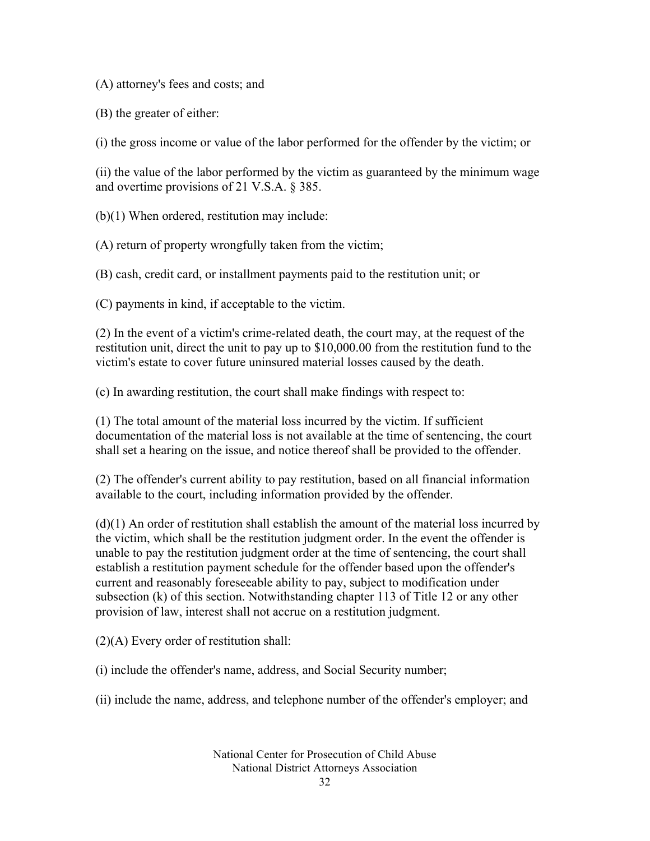(A) attorney's fees and costs; and

(B) the greater of either:

(i) the gross income or value of the labor performed for the offender by the victim; or

(ii) the value of the labor performed by the victim as guaranteed by the minimum wage and overtime provisions of 21 V.S.A. § 385.

(b)(1) When ordered, restitution may include:

(A) return of property wrongfully taken from the victim;

(B) cash, credit card, or installment payments paid to the restitution unit; or

(C) payments in kind, if acceptable to the victim.

(2) In the event of a victim's crime-related death, the court may, at the request of the restitution unit, direct the unit to pay up to \$10,000.00 from the restitution fund to the victim's estate to cover future uninsured material losses caused by the death.

(c) In awarding restitution, the court shall make findings with respect to:

(1) The total amount of the material loss incurred by the victim. If sufficient documentation of the material loss is not available at the time of sentencing, the court shall set a hearing on the issue, and notice thereof shall be provided to the offender.

(2) The offender's current ability to pay restitution, based on all financial information available to the court, including information provided by the offender.

 $(d)(1)$  An order of restitution shall establish the amount of the material loss incurred by the victim, which shall be the restitution judgment order. In the event the offender is unable to pay the restitution judgment order at the time of sentencing, the court shall establish a restitution payment schedule for the offender based upon the offender's current and reasonably foreseeable ability to pay, subject to modification under subsection (k) of this section. Notwithstanding chapter 113 of Title 12 or any other provision of law, interest shall not accrue on a restitution judgment.

(2)(A) Every order of restitution shall:

(i) include the offender's name, address, and Social Security number;

(ii) include the name, address, and telephone number of the offender's employer; and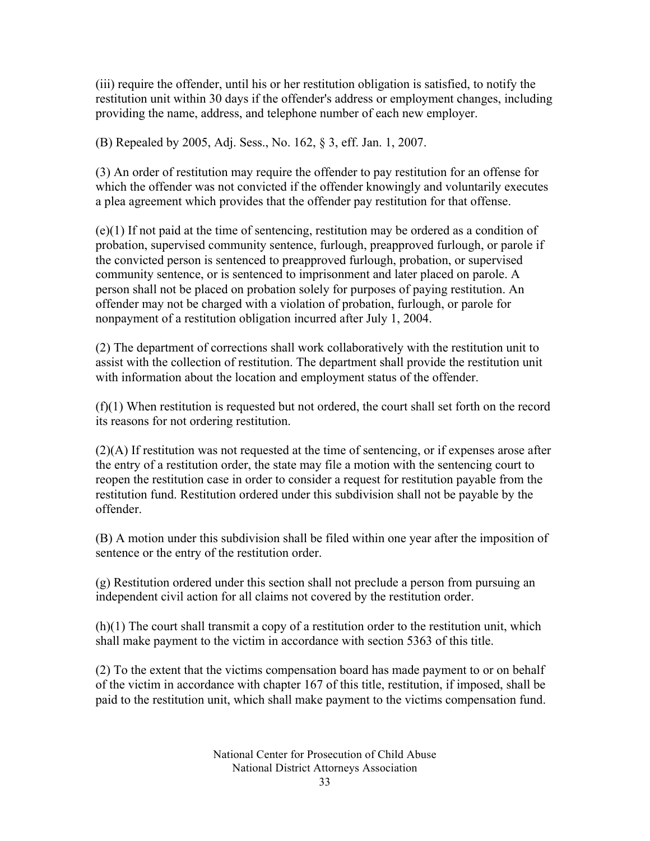(iii) require the offender, until his or her restitution obligation is satisfied, to notify the restitution unit within 30 days if the offender's address or employment changes, including providing the name, address, and telephone number of each new employer.

(B) Repealed by 2005, Adj. Sess., No. 162, § 3, eff. Jan. 1, 2007.

(3) An order of restitution may require the offender to pay restitution for an offense for which the offender was not convicted if the offender knowingly and voluntarily executes a plea agreement which provides that the offender pay restitution for that offense.

(e)(1) If not paid at the time of sentencing, restitution may be ordered as a condition of probation, supervised community sentence, furlough, preapproved furlough, or parole if the convicted person is sentenced to preapproved furlough, probation, or supervised community sentence, or is sentenced to imprisonment and later placed on parole. A person shall not be placed on probation solely for purposes of paying restitution. An offender may not be charged with a violation of probation, furlough, or parole for nonpayment of a restitution obligation incurred after July 1, 2004.

(2) The department of corrections shall work collaboratively with the restitution unit to assist with the collection of restitution. The department shall provide the restitution unit with information about the location and employment status of the offender.

 $(f)(1)$  When restitution is requested but not ordered, the court shall set forth on the record its reasons for not ordering restitution.

(2)(A) If restitution was not requested at the time of sentencing, or if expenses arose after the entry of a restitution order, the state may file a motion with the sentencing court to reopen the restitution case in order to consider a request for restitution payable from the restitution fund. Restitution ordered under this subdivision shall not be payable by the offender.

(B) A motion under this subdivision shall be filed within one year after the imposition of sentence or the entry of the restitution order.

(g) Restitution ordered under this section shall not preclude a person from pursuing an independent civil action for all claims not covered by the restitution order.

(h)(1) The court shall transmit a copy of a restitution order to the restitution unit, which shall make payment to the victim in accordance with section 5363 of this title.

(2) To the extent that the victims compensation board has made payment to or on behalf of the victim in accordance with chapter 167 of this title, restitution, if imposed, shall be paid to the restitution unit, which shall make payment to the victims compensation fund.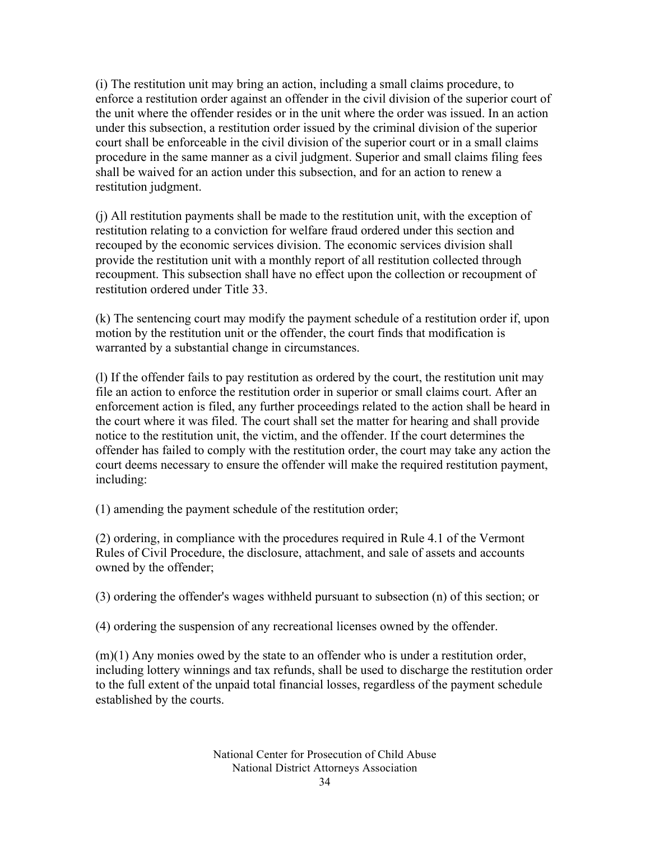(i) The restitution unit may bring an action, including a small claims procedure, to enforce a restitution order against an offender in the civil division of the superior court of the unit where the offender resides or in the unit where the order was issued. In an action under this subsection, a restitution order issued by the criminal division of the superior court shall be enforceable in the civil division of the superior court or in a small claims procedure in the same manner as a civil judgment. Superior and small claims filing fees shall be waived for an action under this subsection, and for an action to renew a restitution judgment.

(j) All restitution payments shall be made to the restitution unit, with the exception of restitution relating to a conviction for welfare fraud ordered under this section and recouped by the economic services division. The economic services division shall provide the restitution unit with a monthly report of all restitution collected through recoupment. This subsection shall have no effect upon the collection or recoupment of restitution ordered under Title 33.

(k) The sentencing court may modify the payment schedule of a restitution order if, upon motion by the restitution unit or the offender, the court finds that modification is warranted by a substantial change in circumstances.

(l) If the offender fails to pay restitution as ordered by the court, the restitution unit may file an action to enforce the restitution order in superior or small claims court. After an enforcement action is filed, any further proceedings related to the action shall be heard in the court where it was filed. The court shall set the matter for hearing and shall provide notice to the restitution unit, the victim, and the offender. If the court determines the offender has failed to comply with the restitution order, the court may take any action the court deems necessary to ensure the offender will make the required restitution payment, including:

(1) amending the payment schedule of the restitution order;

(2) ordering, in compliance with the procedures required in Rule 4.1 of the Vermont Rules of Civil Procedure, the disclosure, attachment, and sale of assets and accounts owned by the offender;

(3) ordering the offender's wages withheld pursuant to subsection (n) of this section; or

(4) ordering the suspension of any recreational licenses owned by the offender.

 $(m)(1)$  Any monies owed by the state to an offender who is under a restitution order, including lottery winnings and tax refunds, shall be used to discharge the restitution order to the full extent of the unpaid total financial losses, regardless of the payment schedule established by the courts.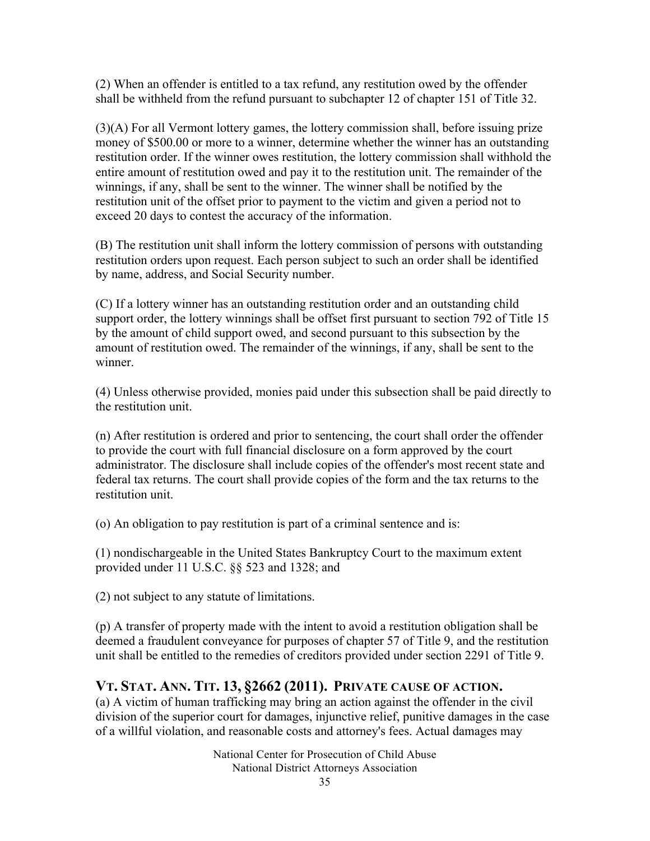(2) When an offender is entitled to a tax refund, any restitution owed by the offender shall be withheld from the refund pursuant to subchapter 12 of chapter 151 of Title 32.

(3)(A) For all Vermont lottery games, the lottery commission shall, before issuing prize money of \$500.00 or more to a winner, determine whether the winner has an outstanding restitution order. If the winner owes restitution, the lottery commission shall withhold the entire amount of restitution owed and pay it to the restitution unit. The remainder of the winnings, if any, shall be sent to the winner. The winner shall be notified by the restitution unit of the offset prior to payment to the victim and given a period not to exceed 20 days to contest the accuracy of the information.

(B) The restitution unit shall inform the lottery commission of persons with outstanding restitution orders upon request. Each person subject to such an order shall be identified by name, address, and Social Security number.

(C) If a lottery winner has an outstanding restitution order and an outstanding child support order, the lottery winnings shall be offset first pursuant to section 792 of Title 15 by the amount of child support owed, and second pursuant to this subsection by the amount of restitution owed. The remainder of the winnings, if any, shall be sent to the winner.

(4) Unless otherwise provided, monies paid under this subsection shall be paid directly to the restitution unit.

(n) After restitution is ordered and prior to sentencing, the court shall order the offender to provide the court with full financial disclosure on a form approved by the court administrator. The disclosure shall include copies of the offender's most recent state and federal tax returns. The court shall provide copies of the form and the tax returns to the restitution unit.

(o) An obligation to pay restitution is part of a criminal sentence and is:

(1) nondischargeable in the United States Bankruptcy Court to the maximum extent provided under 11 U.S.C. §§ 523 and 1328; and

(2) not subject to any statute of limitations.

(p) A transfer of property made with the intent to avoid a restitution obligation shall be deemed a fraudulent conveyance for purposes of chapter 57 of Title 9, and the restitution unit shall be entitled to the remedies of creditors provided under section 2291 of Title 9.

#### **VT. STAT. ANN. TIT. 13, §2662 (2011). PRIVATE CAUSE OF ACTION.**

(a) A victim of human trafficking may bring an action against the offender in the civil division of the superior court for damages, injunctive relief, punitive damages in the case of a willful violation, and reasonable costs and attorney's fees. Actual damages may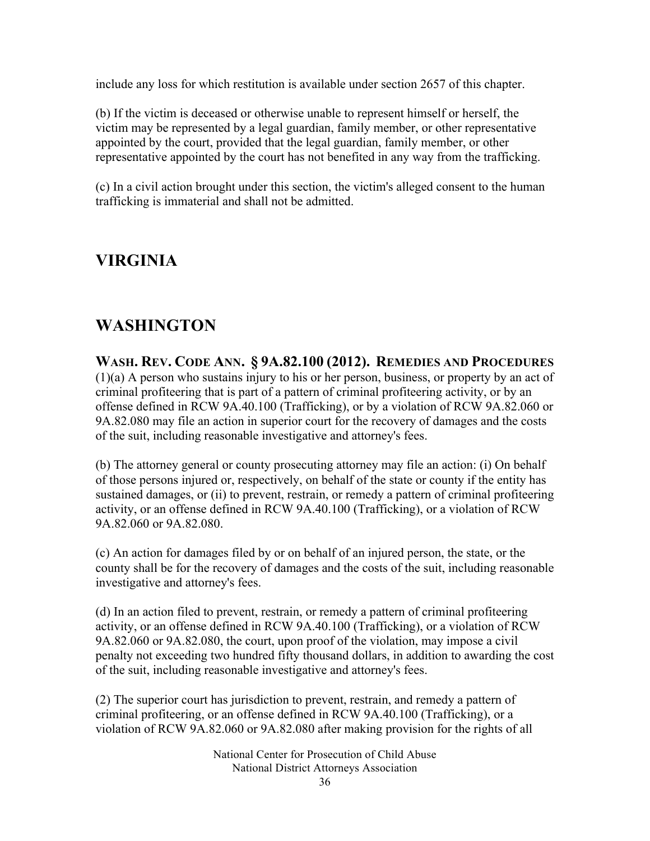include any loss for which restitution is available under section 2657 of this chapter.

(b) If the victim is deceased or otherwise unable to represent himself or herself, the victim may be represented by a legal guardian, family member, or other representative appointed by the court, provided that the legal guardian, family member, or other representative appointed by the court has not benefited in any way from the trafficking.

(c) In a civil action brought under this section, the victim's alleged consent to the human trafficking is immaterial and shall not be admitted.

### **VIRGINIA**

### **WASHINGTON**

**WASH. REV. CODE ANN. § 9A.82.100 (2012). REMEDIES AND PROCEDURES** (1)(a) A person who sustains injury to his or her person, business, or property by an act of criminal profiteering that is part of a pattern of criminal profiteering activity, or by an offense defined in RCW 9A.40.100 (Trafficking), or by a violation of RCW 9A.82.060 or 9A.82.080 may file an action in superior court for the recovery of damages and the costs of the suit, including reasonable investigative and attorney's fees.

(b) The attorney general or county prosecuting attorney may file an action: (i) On behalf of those persons injured or, respectively, on behalf of the state or county if the entity has sustained damages, or (ii) to prevent, restrain, or remedy a pattern of criminal profiteering activity, or an offense defined in RCW 9A.40.100 (Trafficking), or a violation of RCW 9A.82.060 or 9A.82.080.

(c) An action for damages filed by or on behalf of an injured person, the state, or the county shall be for the recovery of damages and the costs of the suit, including reasonable investigative and attorney's fees.

(d) In an action filed to prevent, restrain, or remedy a pattern of criminal profiteering activity, or an offense defined in RCW 9A.40.100 (Trafficking), or a violation of RCW 9A.82.060 or 9A.82.080, the court, upon proof of the violation, may impose a civil penalty not exceeding two hundred fifty thousand dollars, in addition to awarding the cost of the suit, including reasonable investigative and attorney's fees.

(2) The superior court has jurisdiction to prevent, restrain, and remedy a pattern of criminal profiteering, or an offense defined in RCW 9A.40.100 (Trafficking), or a violation of RCW 9A.82.060 or 9A.82.080 after making provision for the rights of all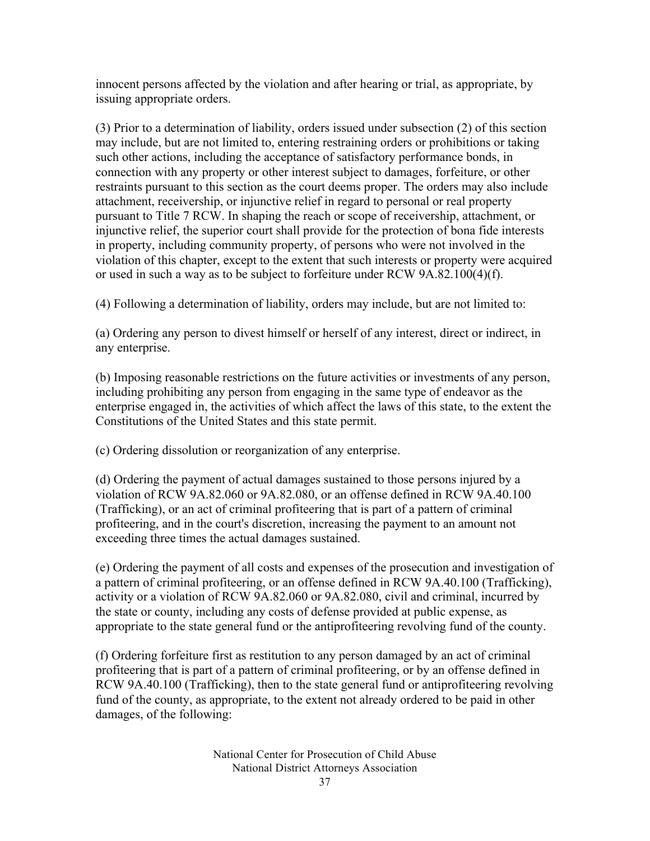innocent persons affected by the violation and after hearing or trial, as appropriate, by issuing appropriate orders.

(3) Prior to a determination of liability, orders issued under subsection (2) of this section may include, but are not limited to, entering restraining orders or prohibitions or taking such other actions, including the acceptance of satisfactory performance bonds, in connection with any property or other interest subject to damages, forfeiture, or other restraints pursuant to this section as the court deems proper. The orders may also include attachment, receivership, or injunctive relief in regard to personal or real property pursuant to Title 7 RCW. In shaping the reach or scope of receivership, attachment, or injunctive relief, the superior court shall provide for the protection of bona fide interests in property, including community property, of persons who were not involved in the violation of this chapter, except to the extent that such interests or property were acquired or used in such a way as to be subject to forfeiture under RCW 9A.82.100(4)(f).

(4) Following a determination of liability, orders may include, but are not limited to:

(a) Ordering any person to divest himself or herself of any interest, direct or indirect, in any enterprise.

(b) Imposing reasonable restrictions on the future activities or investments of any person, including prohibiting any person from engaging in the same type of endeavor as the enterprise engaged in, the activities of which affect the laws of this state, to the extent the Constitutions of the United States and this state permit.

(c) Ordering dissolution or reorganization of any enterprise.

(d) Ordering the payment of actual damages sustained to those persons injured by a violation of RCW 9A.82.060 or 9A.82.080, or an offense defined in RCW 9A.40.100 (Trafficking), or an act of criminal profiteering that is part of a pattern of criminal profiteering, and in the court's discretion, increasing the payment to an amount not exceeding three times the actual damages sustained.

(e) Ordering the payment of all costs and expenses of the prosecution and investigation of a pattern of criminal profiteering, or an offense defined in RCW 9A.40.100 (Trafficking), activity or a violation of RCW 9A.82.060 or 9A.82.080, civil and criminal, incurred by the state or county, including any costs of defense provided at public expense, as appropriate to the state general fund or the antiprofiteering revolving fund of the county.

(f) Ordering forfeiture first as restitution to any person damaged by an act of criminal profiteering that is part of a pattern of criminal profiteering, or by an offense defined in RCW 9A.40.100 (Trafficking), then to the state general fund or antiprofiteering revolving fund of the county, as appropriate, to the extent not already ordered to be paid in other damages, of the following: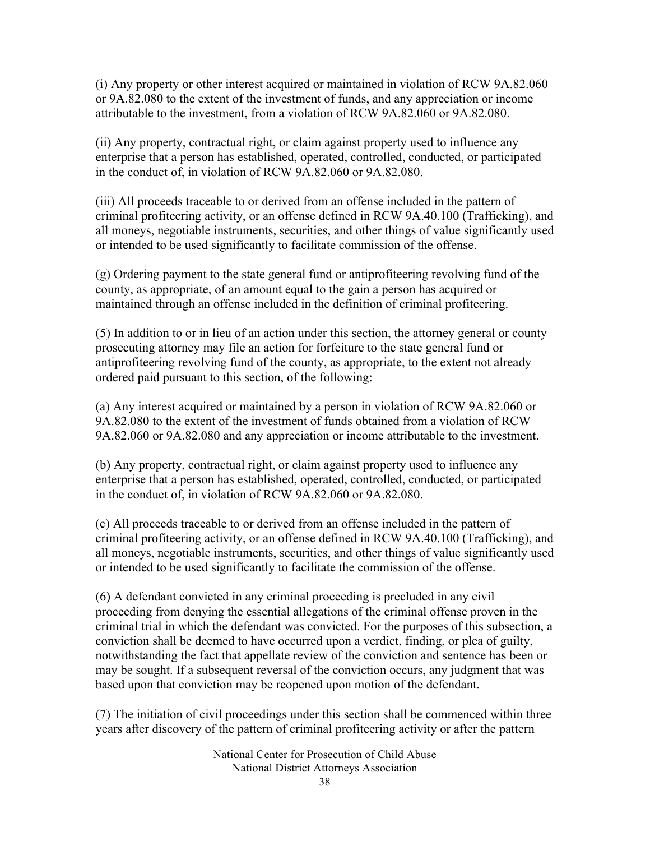(i) Any property or other interest acquired or maintained in violation of RCW 9A.82.060 or 9A.82.080 to the extent of the investment of funds, and any appreciation or income attributable to the investment, from a violation of RCW 9A.82.060 or 9A.82.080.

(ii) Any property, contractual right, or claim against property used to influence any enterprise that a person has established, operated, controlled, conducted, or participated in the conduct of, in violation of RCW 9A.82.060 or 9A.82.080.

(iii) All proceeds traceable to or derived from an offense included in the pattern of criminal profiteering activity, or an offense defined in RCW 9A.40.100 (Trafficking), and all moneys, negotiable instruments, securities, and other things of value significantly used or intended to be used significantly to facilitate commission of the offense.

(g) Ordering payment to the state general fund or antiprofiteering revolving fund of the county, as appropriate, of an amount equal to the gain a person has acquired or maintained through an offense included in the definition of criminal profiteering.

(5) In addition to or in lieu of an action under this section, the attorney general or county prosecuting attorney may file an action for forfeiture to the state general fund or antiprofiteering revolving fund of the county, as appropriate, to the extent not already ordered paid pursuant to this section, of the following:

(a) Any interest acquired or maintained by a person in violation of RCW 9A.82.060 or 9A.82.080 to the extent of the investment of funds obtained from a violation of RCW 9A.82.060 or 9A.82.080 and any appreciation or income attributable to the investment.

(b) Any property, contractual right, or claim against property used to influence any enterprise that a person has established, operated, controlled, conducted, or participated in the conduct of, in violation of RCW 9A.82.060 or 9A.82.080.

(c) All proceeds traceable to or derived from an offense included in the pattern of criminal profiteering activity, or an offense defined in RCW 9A.40.100 (Trafficking), and all moneys, negotiable instruments, securities, and other things of value significantly used or intended to be used significantly to facilitate the commission of the offense.

(6) A defendant convicted in any criminal proceeding is precluded in any civil proceeding from denying the essential allegations of the criminal offense proven in the criminal trial in which the defendant was convicted. For the purposes of this subsection, a conviction shall be deemed to have occurred upon a verdict, finding, or plea of guilty, notwithstanding the fact that appellate review of the conviction and sentence has been or may be sought. If a subsequent reversal of the conviction occurs, any judgment that was based upon that conviction may be reopened upon motion of the defendant.

(7) The initiation of civil proceedings under this section shall be commenced within three years after discovery of the pattern of criminal profiteering activity or after the pattern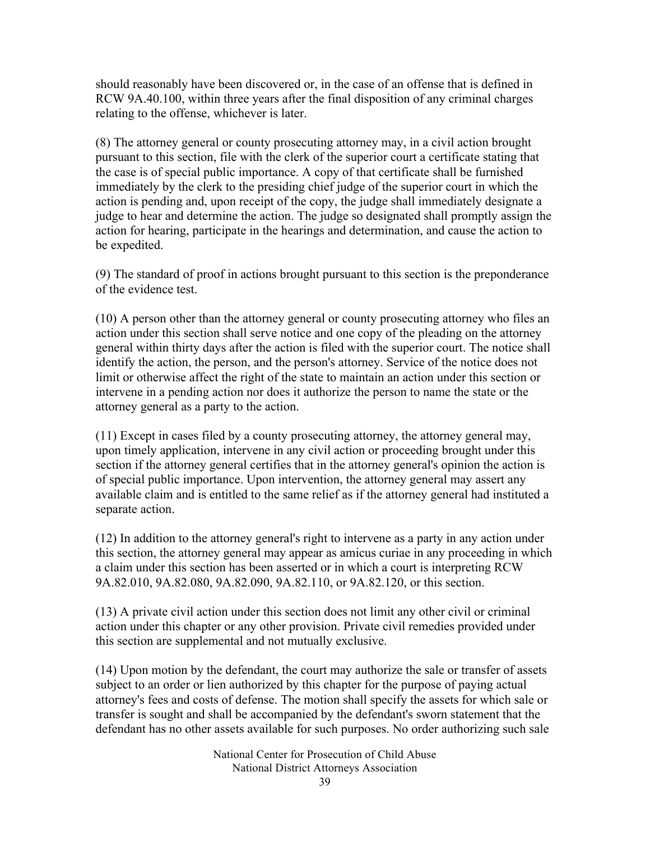should reasonably have been discovered or, in the case of an offense that is defined in RCW 9A.40.100, within three years after the final disposition of any criminal charges relating to the offense, whichever is later.

(8) The attorney general or county prosecuting attorney may, in a civil action brought pursuant to this section, file with the clerk of the superior court a certificate stating that the case is of special public importance. A copy of that certificate shall be furnished immediately by the clerk to the presiding chief judge of the superior court in which the action is pending and, upon receipt of the copy, the judge shall immediately designate a judge to hear and determine the action. The judge so designated shall promptly assign the action for hearing, participate in the hearings and determination, and cause the action to be expedited.

(9) The standard of proof in actions brought pursuant to this section is the preponderance of the evidence test.

(10) A person other than the attorney general or county prosecuting attorney who files an action under this section shall serve notice and one copy of the pleading on the attorney general within thirty days after the action is filed with the superior court. The notice shall identify the action, the person, and the person's attorney. Service of the notice does not limit or otherwise affect the right of the state to maintain an action under this section or intervene in a pending action nor does it authorize the person to name the state or the attorney general as a party to the action.

(11) Except in cases filed by a county prosecuting attorney, the attorney general may, upon timely application, intervene in any civil action or proceeding brought under this section if the attorney general certifies that in the attorney general's opinion the action is of special public importance. Upon intervention, the attorney general may assert any available claim and is entitled to the same relief as if the attorney general had instituted a separate action.

(12) In addition to the attorney general's right to intervene as a party in any action under this section, the attorney general may appear as amicus curiae in any proceeding in which a claim under this section has been asserted or in which a court is interpreting RCW 9A.82.010, 9A.82.080, 9A.82.090, 9A.82.110, or 9A.82.120, or this section.

(13) A private civil action under this section does not limit any other civil or criminal action under this chapter or any other provision. Private civil remedies provided under this section are supplemental and not mutually exclusive.

(14) Upon motion by the defendant, the court may authorize the sale or transfer of assets subject to an order or lien authorized by this chapter for the purpose of paying actual attorney's fees and costs of defense. The motion shall specify the assets for which sale or transfer is sought and shall be accompanied by the defendant's sworn statement that the defendant has no other assets available for such purposes. No order authorizing such sale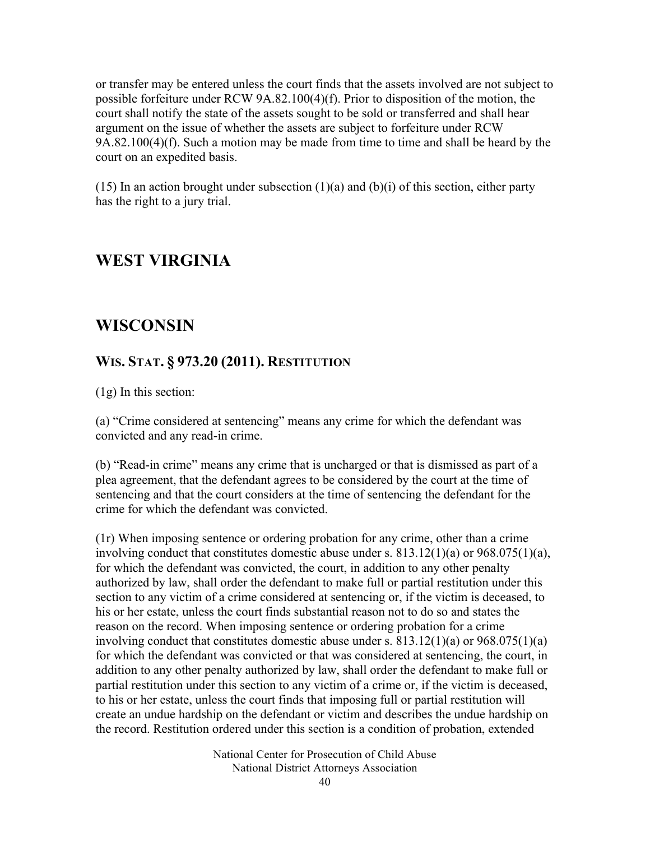or transfer may be entered unless the court finds that the assets involved are not subject to possible forfeiture under RCW 9A.82.100(4)(f). Prior to disposition of the motion, the court shall notify the state of the assets sought to be sold or transferred and shall hear argument on the issue of whether the assets are subject to forfeiture under RCW 9A.82.100(4)(f). Such a motion may be made from time to time and shall be heard by the court on an expedited basis.

(15) In an action brought under subsection  $(1)(a)$  and  $(b)(i)$  of this section, either party has the right to a jury trial.

#### **WEST VIRGINIA**

### **WISCONSIN**

#### **WIS. STAT. § 973.20 (2011). RESTITUTION**

(1g) In this section:

(a) "Crime considered at sentencing" means any crime for which the defendant was convicted and any read-in crime.

(b) "Read-in crime" means any crime that is uncharged or that is dismissed as part of a plea agreement, that the defendant agrees to be considered by the court at the time of sentencing and that the court considers at the time of sentencing the defendant for the crime for which the defendant was convicted.

(1r) When imposing sentence or ordering probation for any crime, other than a crime involving conduct that constitutes domestic abuse under s.  $813.12(1)(a)$  or  $968.075(1)(a)$ , for which the defendant was convicted, the court, in addition to any other penalty authorized by law, shall order the defendant to make full or partial restitution under this section to any victim of a crime considered at sentencing or, if the victim is deceased, to his or her estate, unless the court finds substantial reason not to do so and states the reason on the record. When imposing sentence or ordering probation for a crime involving conduct that constitutes domestic abuse under s.  $813.12(1)(a)$  or  $968.075(1)(a)$ for which the defendant was convicted or that was considered at sentencing, the court, in addition to any other penalty authorized by law, shall order the defendant to make full or partial restitution under this section to any victim of a crime or, if the victim is deceased, to his or her estate, unless the court finds that imposing full or partial restitution will create an undue hardship on the defendant or victim and describes the undue hardship on the record. Restitution ordered under this section is a condition of probation, extended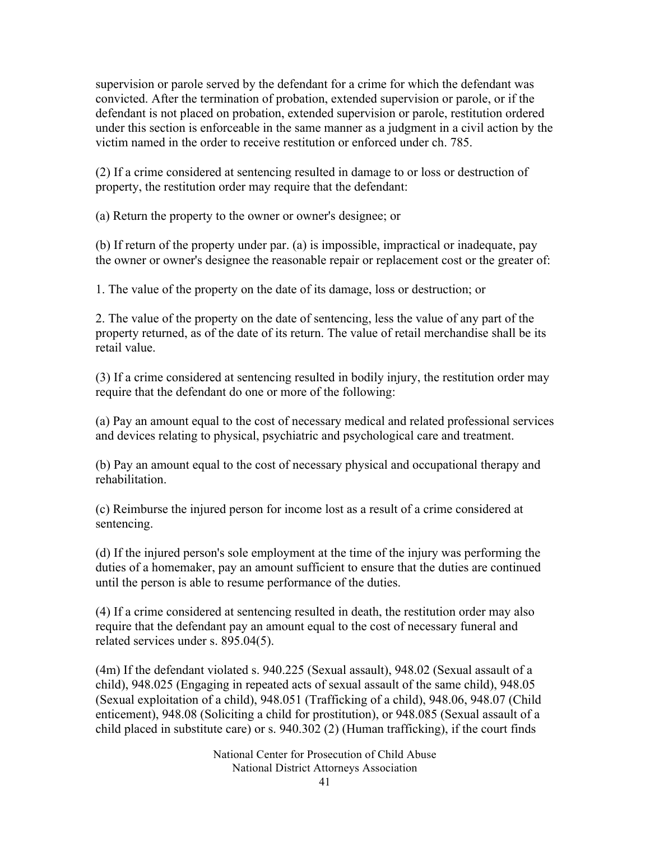supervision or parole served by the defendant for a crime for which the defendant was convicted. After the termination of probation, extended supervision or parole, or if the defendant is not placed on probation, extended supervision or parole, restitution ordered under this section is enforceable in the same manner as a judgment in a civil action by the victim named in the order to receive restitution or enforced under ch. 785.

(2) If a crime considered at sentencing resulted in damage to or loss or destruction of property, the restitution order may require that the defendant:

(a) Return the property to the owner or owner's designee; or

(b) If return of the property under par. (a) is impossible, impractical or inadequate, pay the owner or owner's designee the reasonable repair or replacement cost or the greater of:

1. The value of the property on the date of its damage, loss or destruction; or

2. The value of the property on the date of sentencing, less the value of any part of the property returned, as of the date of its return. The value of retail merchandise shall be its retail value.

(3) If a crime considered at sentencing resulted in bodily injury, the restitution order may require that the defendant do one or more of the following:

(a) Pay an amount equal to the cost of necessary medical and related professional services and devices relating to physical, psychiatric and psychological care and treatment.

(b) Pay an amount equal to the cost of necessary physical and occupational therapy and rehabilitation.

(c) Reimburse the injured person for income lost as a result of a crime considered at sentencing.

(d) If the injured person's sole employment at the time of the injury was performing the duties of a homemaker, pay an amount sufficient to ensure that the duties are continued until the person is able to resume performance of the duties.

(4) If a crime considered at sentencing resulted in death, the restitution order may also require that the defendant pay an amount equal to the cost of necessary funeral and related services under s. 895.04(5).

(4m) If the defendant violated s. 940.225 (Sexual assault), 948.02 (Sexual assault of a child), 948.025 (Engaging in repeated acts of sexual assault of the same child), 948.05 (Sexual exploitation of a child), 948.051 (Trafficking of a child), 948.06, 948.07 (Child enticement), 948.08 (Soliciting a child for prostitution), or 948.085 (Sexual assault of a child placed in substitute care) or s. 940.302 (2) (Human trafficking), if the court finds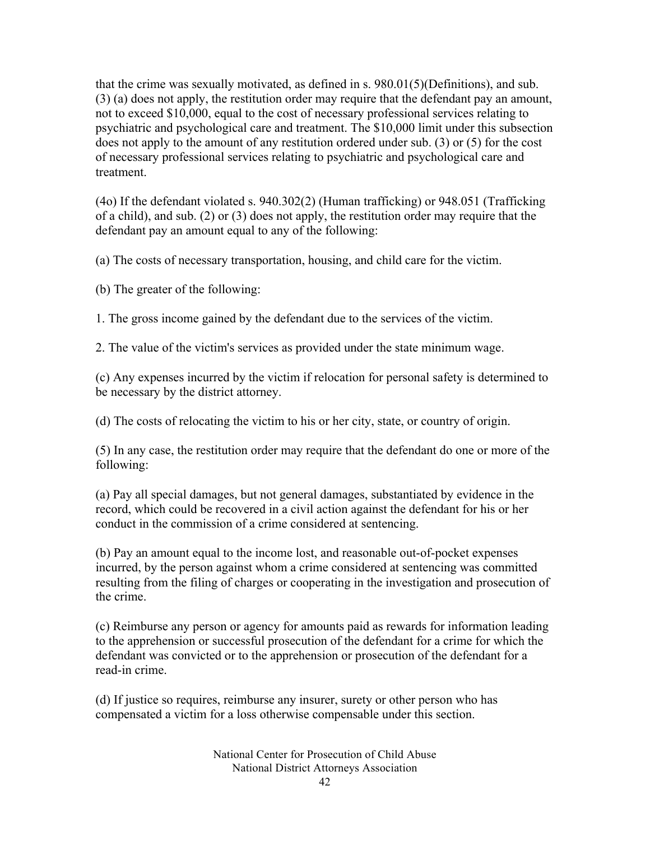that the crime was sexually motivated, as defined in s. 980.01(5)(Definitions), and sub. (3) (a) does not apply, the restitution order may require that the defendant pay an amount, not to exceed \$10,000, equal to the cost of necessary professional services relating to psychiatric and psychological care and treatment. The \$10,000 limit under this subsection does not apply to the amount of any restitution ordered under sub. (3) or (5) for the cost of necessary professional services relating to psychiatric and psychological care and treatment.

(4o) If the defendant violated s. 940.302(2) (Human trafficking) or 948.051 (Trafficking of a child), and sub. (2) or (3) does not apply, the restitution order may require that the defendant pay an amount equal to any of the following:

(a) The costs of necessary transportation, housing, and child care for the victim.

(b) The greater of the following:

1. The gross income gained by the defendant due to the services of the victim.

2. The value of the victim's services as provided under the state minimum wage.

(c) Any expenses incurred by the victim if relocation for personal safety is determined to be necessary by the district attorney.

(d) The costs of relocating the victim to his or her city, state, or country of origin.

(5) In any case, the restitution order may require that the defendant do one or more of the following:

(a) Pay all special damages, but not general damages, substantiated by evidence in the record, which could be recovered in a civil action against the defendant for his or her conduct in the commission of a crime considered at sentencing.

(b) Pay an amount equal to the income lost, and reasonable out-of-pocket expenses incurred, by the person against whom a crime considered at sentencing was committed resulting from the filing of charges or cooperating in the investigation and prosecution of the crime.

(c) Reimburse any person or agency for amounts paid as rewards for information leading to the apprehension or successful prosecution of the defendant for a crime for which the defendant was convicted or to the apprehension or prosecution of the defendant for a read-in crime.

(d) If justice so requires, reimburse any insurer, surety or other person who has compensated a victim for a loss otherwise compensable under this section.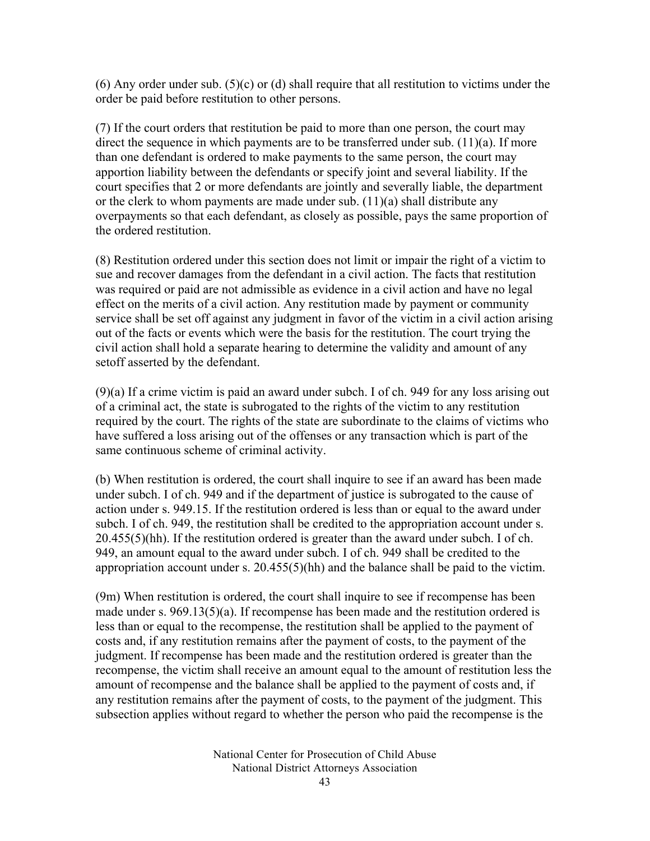$(6)$  Any order under sub.  $(5)(c)$  or (d) shall require that all restitution to victims under the order be paid before restitution to other persons.

(7) If the court orders that restitution be paid to more than one person, the court may direct the sequence in which payments are to be transferred under sub. (11)(a). If more than one defendant is ordered to make payments to the same person, the court may apportion liability between the defendants or specify joint and several liability. If the court specifies that 2 or more defendants are jointly and severally liable, the department or the clerk to whom payments are made under sub. (11)(a) shall distribute any overpayments so that each defendant, as closely as possible, pays the same proportion of the ordered restitution.

(8) Restitution ordered under this section does not limit or impair the right of a victim to sue and recover damages from the defendant in a civil action. The facts that restitution was required or paid are not admissible as evidence in a civil action and have no legal effect on the merits of a civil action. Any restitution made by payment or community service shall be set off against any judgment in favor of the victim in a civil action arising out of the facts or events which were the basis for the restitution. The court trying the civil action shall hold a separate hearing to determine the validity and amount of any setoff asserted by the defendant.

(9)(a) If a crime victim is paid an award under subch. I of ch. 949 for any loss arising out of a criminal act, the state is subrogated to the rights of the victim to any restitution required by the court. The rights of the state are subordinate to the claims of victims who have suffered a loss arising out of the offenses or any transaction which is part of the same continuous scheme of criminal activity.

(b) When restitution is ordered, the court shall inquire to see if an award has been made under subch. I of ch. 949 and if the department of justice is subrogated to the cause of action under s. 949.15. If the restitution ordered is less than or equal to the award under subch. I of ch. 949, the restitution shall be credited to the appropriation account under s. 20.455(5)(hh). If the restitution ordered is greater than the award under subch. I of ch. 949, an amount equal to the award under subch. I of ch. 949 shall be credited to the appropriation account under s. 20.455(5)(hh) and the balance shall be paid to the victim.

(9m) When restitution is ordered, the court shall inquire to see if recompense has been made under s. 969.13(5)(a). If recompense has been made and the restitution ordered is less than or equal to the recompense, the restitution shall be applied to the payment of costs and, if any restitution remains after the payment of costs, to the payment of the judgment. If recompense has been made and the restitution ordered is greater than the recompense, the victim shall receive an amount equal to the amount of restitution less the amount of recompense and the balance shall be applied to the payment of costs and, if any restitution remains after the payment of costs, to the payment of the judgment. This subsection applies without regard to whether the person who paid the recompense is the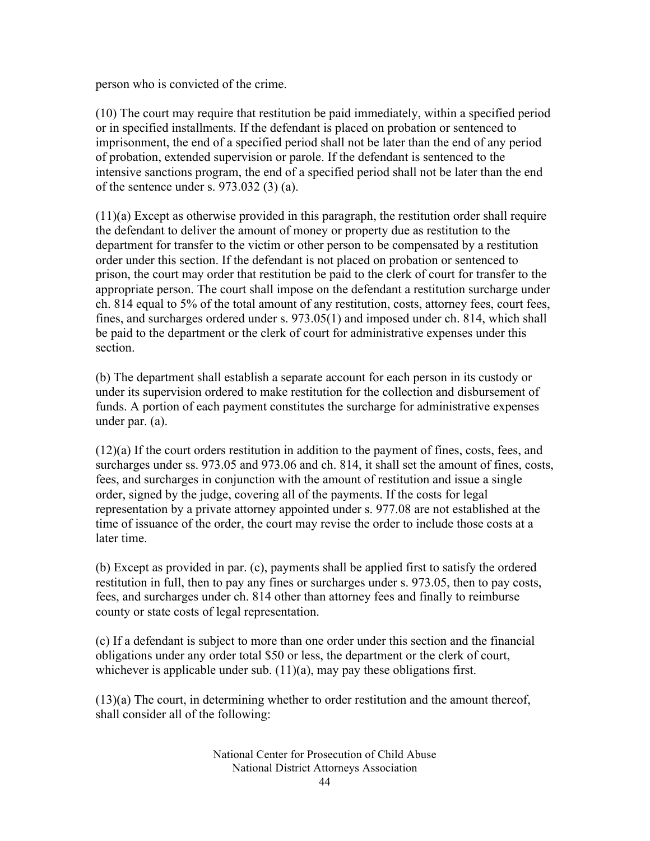person who is convicted of the crime.

(10) The court may require that restitution be paid immediately, within a specified period or in specified installments. If the defendant is placed on probation or sentenced to imprisonment, the end of a specified period shall not be later than the end of any period of probation, extended supervision or parole. If the defendant is sentenced to the intensive sanctions program, the end of a specified period shall not be later than the end of the sentence under s. 973.032 (3) (a).

(11)(a) Except as otherwise provided in this paragraph, the restitution order shall require the defendant to deliver the amount of money or property due as restitution to the department for transfer to the victim or other person to be compensated by a restitution order under this section. If the defendant is not placed on probation or sentenced to prison, the court may order that restitution be paid to the clerk of court for transfer to the appropriate person. The court shall impose on the defendant a restitution surcharge under ch. 814 equal to 5% of the total amount of any restitution, costs, attorney fees, court fees, fines, and surcharges ordered under s. 973.05(1) and imposed under ch. 814, which shall be paid to the department or the clerk of court for administrative expenses under this section.

(b) The department shall establish a separate account for each person in its custody or under its supervision ordered to make restitution for the collection and disbursement of funds. A portion of each payment constitutes the surcharge for administrative expenses under par. (a).

(12)(a) If the court orders restitution in addition to the payment of fines, costs, fees, and surcharges under ss. 973.05 and 973.06 and ch. 814, it shall set the amount of fines, costs, fees, and surcharges in conjunction with the amount of restitution and issue a single order, signed by the judge, covering all of the payments. If the costs for legal representation by a private attorney appointed under s. 977.08 are not established at the time of issuance of the order, the court may revise the order to include those costs at a later time.

(b) Except as provided in par. (c), payments shall be applied first to satisfy the ordered restitution in full, then to pay any fines or surcharges under s. 973.05, then to pay costs, fees, and surcharges under ch. 814 other than attorney fees and finally to reimburse county or state costs of legal representation.

(c) If a defendant is subject to more than one order under this section and the financial obligations under any order total \$50 or less, the department or the clerk of court, whichever is applicable under sub.  $(11)(a)$ , may pay these obligations first.

(13)(a) The court, in determining whether to order restitution and the amount thereof, shall consider all of the following: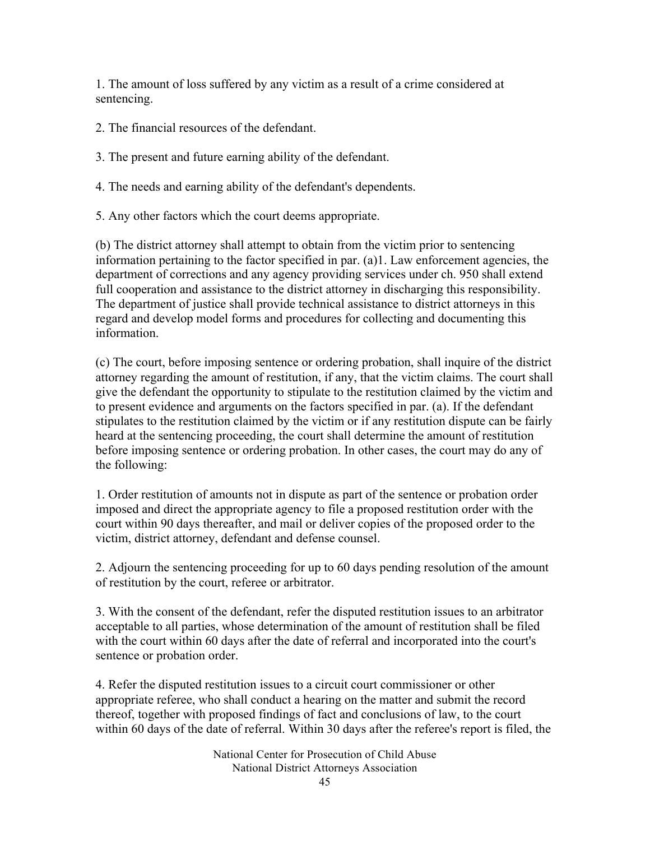1. The amount of loss suffered by any victim as a result of a crime considered at sentencing.

- 2. The financial resources of the defendant.
- 3. The present and future earning ability of the defendant.
- 4. The needs and earning ability of the defendant's dependents.
- 5. Any other factors which the court deems appropriate.

(b) The district attorney shall attempt to obtain from the victim prior to sentencing information pertaining to the factor specified in par. (a)1. Law enforcement agencies, the department of corrections and any agency providing services under ch. 950 shall extend full cooperation and assistance to the district attorney in discharging this responsibility. The department of justice shall provide technical assistance to district attorneys in this regard and develop model forms and procedures for collecting and documenting this information.

(c) The court, before imposing sentence or ordering probation, shall inquire of the district attorney regarding the amount of restitution, if any, that the victim claims. The court shall give the defendant the opportunity to stipulate to the restitution claimed by the victim and to present evidence and arguments on the factors specified in par. (a). If the defendant stipulates to the restitution claimed by the victim or if any restitution dispute can be fairly heard at the sentencing proceeding, the court shall determine the amount of restitution before imposing sentence or ordering probation. In other cases, the court may do any of the following:

1. Order restitution of amounts not in dispute as part of the sentence or probation order imposed and direct the appropriate agency to file a proposed restitution order with the court within 90 days thereafter, and mail or deliver copies of the proposed order to the victim, district attorney, defendant and defense counsel.

2. Adjourn the sentencing proceeding for up to 60 days pending resolution of the amount of restitution by the court, referee or arbitrator.

3. With the consent of the defendant, refer the disputed restitution issues to an arbitrator acceptable to all parties, whose determination of the amount of restitution shall be filed with the court within 60 days after the date of referral and incorporated into the court's sentence or probation order.

4. Refer the disputed restitution issues to a circuit court commissioner or other appropriate referee, who shall conduct a hearing on the matter and submit the record thereof, together with proposed findings of fact and conclusions of law, to the court within 60 days of the date of referral. Within 30 days after the referee's report is filed, the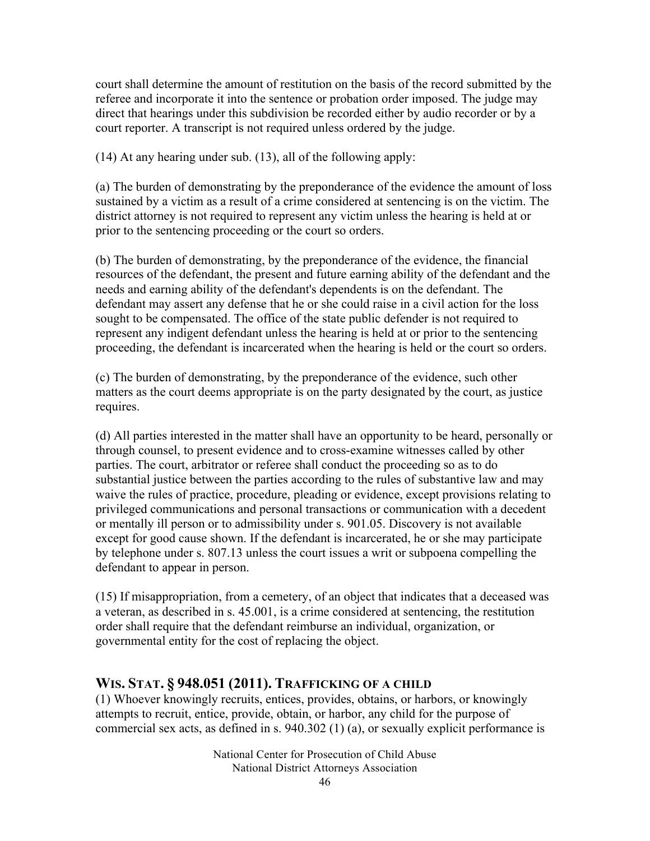court shall determine the amount of restitution on the basis of the record submitted by the referee and incorporate it into the sentence or probation order imposed. The judge may direct that hearings under this subdivision be recorded either by audio recorder or by a court reporter. A transcript is not required unless ordered by the judge.

(14) At any hearing under sub. (13), all of the following apply:

(a) The burden of demonstrating by the preponderance of the evidence the amount of loss sustained by a victim as a result of a crime considered at sentencing is on the victim. The district attorney is not required to represent any victim unless the hearing is held at or prior to the sentencing proceeding or the court so orders.

(b) The burden of demonstrating, by the preponderance of the evidence, the financial resources of the defendant, the present and future earning ability of the defendant and the needs and earning ability of the defendant's dependents is on the defendant. The defendant may assert any defense that he or she could raise in a civil action for the loss sought to be compensated. The office of the state public defender is not required to represent any indigent defendant unless the hearing is held at or prior to the sentencing proceeding, the defendant is incarcerated when the hearing is held or the court so orders.

(c) The burden of demonstrating, by the preponderance of the evidence, such other matters as the court deems appropriate is on the party designated by the court, as justice requires.

(d) All parties interested in the matter shall have an opportunity to be heard, personally or through counsel, to present evidence and to cross-examine witnesses called by other parties. The court, arbitrator or referee shall conduct the proceeding so as to do substantial justice between the parties according to the rules of substantive law and may waive the rules of practice, procedure, pleading or evidence, except provisions relating to privileged communications and personal transactions or communication with a decedent or mentally ill person or to admissibility under s. 901.05. Discovery is not available except for good cause shown. If the defendant is incarcerated, he or she may participate by telephone under s. 807.13 unless the court issues a writ or subpoena compelling the defendant to appear in person.

(15) If misappropriation, from a cemetery, of an object that indicates that a deceased was a veteran, as described in s. 45.001, is a crime considered at sentencing, the restitution order shall require that the defendant reimburse an individual, organization, or governmental entity for the cost of replacing the object.

#### **WIS. STAT. § 948.051 (2011). TRAFFICKING OF A CHILD**

(1) Whoever knowingly recruits, entices, provides, obtains, or harbors, or knowingly attempts to recruit, entice, provide, obtain, or harbor, any child for the purpose of commercial sex acts, as defined in s. 940.302 (1) (a), or sexually explicit performance is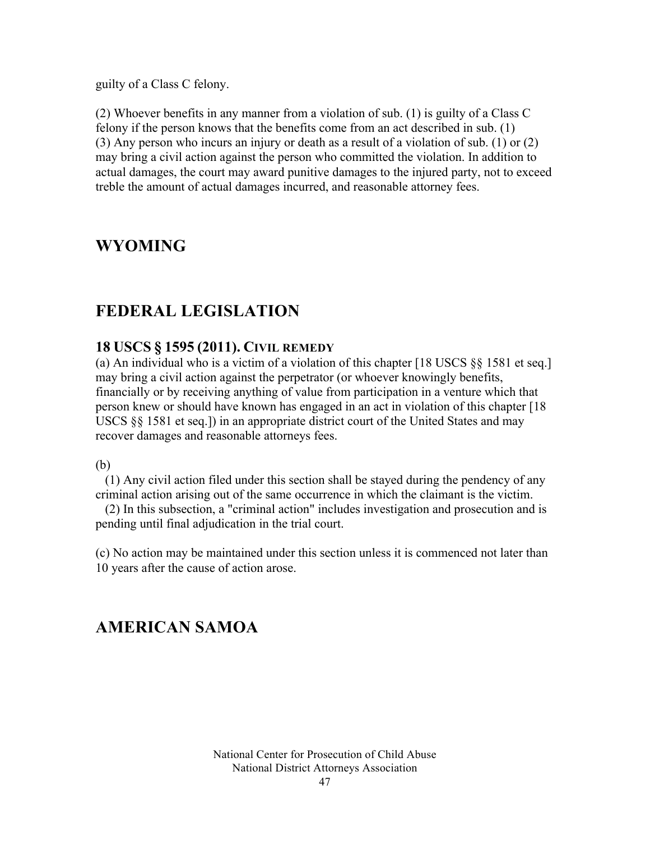guilty of a Class C felony.

(2) Whoever benefits in any manner from a violation of sub. (1) is guilty of a Class C felony if the person knows that the benefits come from an act described in sub. (1) (3) Any person who incurs an injury or death as a result of a violation of sub. (1) or (2) may bring a civil action against the person who committed the violation. In addition to actual damages, the court may award punitive damages to the injured party, not to exceed treble the amount of actual damages incurred, and reasonable attorney fees.

### **WYOMING**

### **FEDERAL LEGISLATION**

#### **18 USCS § 1595 (2011). CIVIL REMEDY**

(a) An individual who is a victim of a violation of this chapter [18 USCS §§ 1581 et seq.] may bring a civil action against the perpetrator (or whoever knowingly benefits, financially or by receiving anything of value from participation in a venture which that person knew or should have known has engaged in an act in violation of this chapter [18 USCS §§ 1581 et seq.]) in an appropriate district court of the United States and may recover damages and reasonable attorneys fees.

#### (b)

 (1) Any civil action filed under this section shall be stayed during the pendency of any criminal action arising out of the same occurrence in which the claimant is the victim.

 (2) In this subsection, a "criminal action" includes investigation and prosecution and is pending until final adjudication in the trial court.

(c) No action may be maintained under this section unless it is commenced not later than 10 years after the cause of action arose.

### **AMERICAN SAMOA**